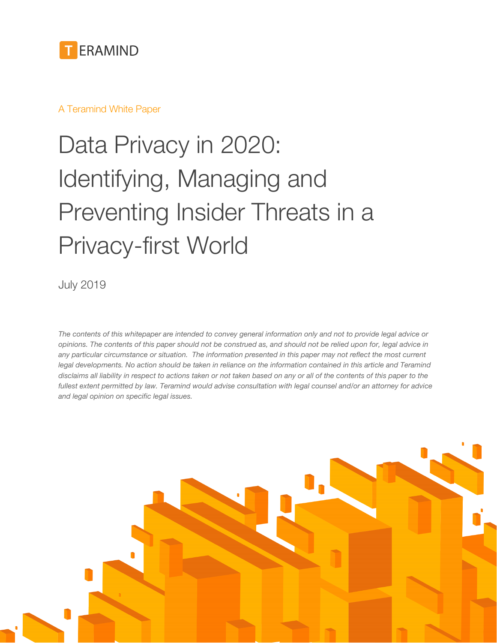

### A Teramind White Paper

# Data Privacy in 2020: Identifying, Managing and Preventing Insider Threats in a Privacy-first World

July 2019

*The contents of this whitepaper are intended to convey general information only and not to provide legal advice or opinions. The contents of this paper should not be construed as, and should not be relied upon for, legal advice in any particular circumstance or situation. The information presented in this paper may not reflect the most current legal developments. No action should be taken in reliance on the information contained in this article and Teramind disclaims all liability in respect to actions taken or not taken based on any or all of the contents of this paper to the fullest extent permitted by law. Teramind would advise consultation with legal counsel and/or an attorney for advice and legal opinion on specific legal issues.*

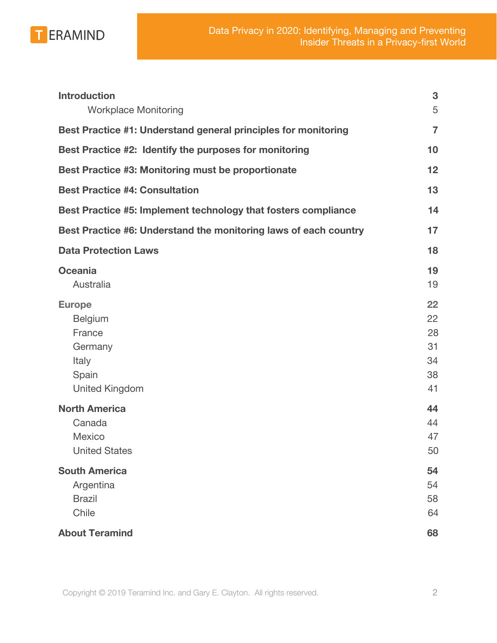

| <b>Introduction</b><br><b>Workplace Monitoring</b>                                       | 3<br>5                                 |
|------------------------------------------------------------------------------------------|----------------------------------------|
| Best Practice #1: Understand general principles for monitoring                           | $\overline{7}$                         |
| Best Practice #2: Identify the purposes for monitoring                                   | 10                                     |
| Best Practice #3: Monitoring must be proportionate                                       | 12                                     |
| <b>Best Practice #4: Consultation</b>                                                    | 13                                     |
| Best Practice #5: Implement technology that fosters compliance                           | 14                                     |
| Best Practice #6: Understand the monitoring laws of each country                         | 17                                     |
| <b>Data Protection Laws</b>                                                              | 18                                     |
| <b>Oceania</b><br>Australia                                                              | 19<br>19                               |
| <b>Europe</b><br>Belgium<br>France<br>Germany<br>Italy<br>Spain<br><b>United Kingdom</b> | 22<br>22<br>28<br>31<br>34<br>38<br>41 |
| <b>North America</b><br>Canada<br><b>Mexico</b><br><b>United States</b>                  | 44<br>44<br>47<br>50                   |
| <b>South America</b><br>Argentina<br><b>Brazil</b><br>Chile                              | 54<br>54<br>58<br>64                   |
| <b>About Teramind</b>                                                                    | 68                                     |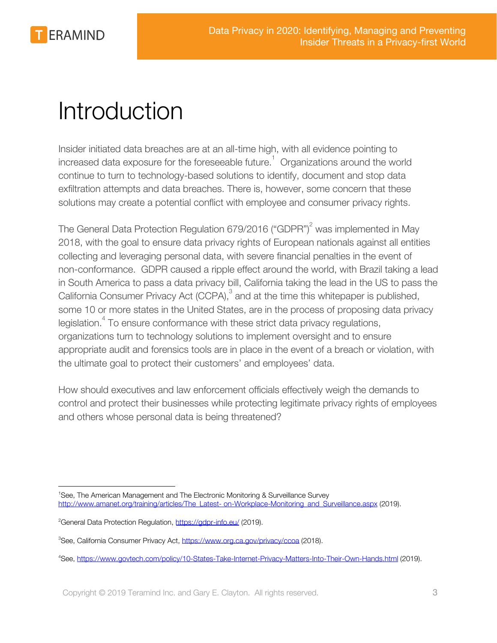

## <span id="page-2-0"></span>Introduction

Insider initiated data breaches are at an all-time high, with all evidence pointing to increased data exposure for the foreseeable future.<sup>1</sup> Organizations around the world continue to turn to technology-based solutions to identify, document and stop data exfiltration attempts and data breaches. There is, however, some concern that these solutions may create a potential conflict with employee and consumer privacy rights.

The General Data Protection Regulation 679/2016 ("GDPR")<sup>2</sup> was implemented in May 2018, with the goal to ensure data privacy rights of European nationals against all entities collecting and leveraging personal data, with severe financial penalties in the event of non-conformance. GDPR caused a ripple effect around the world, with Brazil taking a lead in South America to pass a data privacy bill, California taking the lead in the US to pass the California Consumer Privacy Act (CCPA),<sup>3</sup> and at the time this whitepaper is published, some 10 or more states in the United States, are in the process of proposing data privacy legislation.<sup>4</sup> To ensure conformance with these strict data privacy regulations, organizations turn to technology solutions to implement oversight and to ensure appropriate audit and forensics tools are in place in the event of a breach or violation, with the ultimate goal to protect their customers' and employees' data.

How should executives and law enforcement officials effectively weigh the demands to control and protect their businesses while protecting legitimate privacy rights of employees and others whose personal data is being threatened?

<sup>&</sup>lt;sup>1</sup>See, The American Management and The Electronic Monitoring & Surveillance Survey [http://www.amanet.org/training/articles/The\\_Latest- on-Workplace-Monitoring\\_and\\_Surveillance.aspx](http://www.amanet.org/training/articles/The_Latest-%20on-Workplace-Monitoring_and_Surveillance.aspx) (2019).

<sup>&</sup>lt;sup>2</sup>General Data Protection Regulation, <https://gdpr-info.eu/>(2019).

<sup>&</sup>lt;sup>3</sup>See, California Consumer Privacy Act,<https://www.org.ca.gov/privacy/ccoa>(2018).

<sup>4</sup>See, <https://www.govtech.com/policy/10-States-Take-Internet-Privacy-Matters-Into-Their-Own-Hands.html> (2019).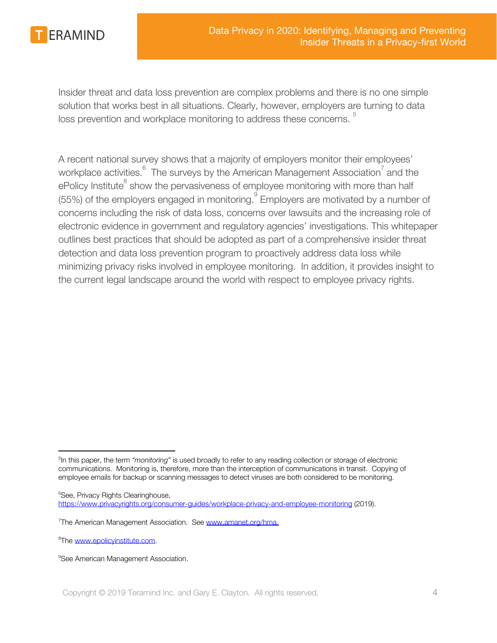

Insider threat and data loss prevention are complex problems and there is no one simple solution that works best in all situations. Clearly, however, employers are turning to data loss prevention and workplace monitoring to address these concerns.

A recent national survey shows that a majority of employers monitor their employees' workplace activities.  $6\degree$  The surveys by the American Management Association<sup>7</sup> and the ePolicy Institute<sup>8</sup> show the pervasiveness of employee monitoring with more than half (55%) of the employers engaged in monitoring.  $\degree$  Employers are motivated by a number of concerns including the risk of data loss, concerns over lawsuits and the increasing role of electronic evidence in government and regulatory agencies' investigations. This whitepaper outlines best practices that should be adopted as part of a comprehensive insider threat detection and data loss prevention program to proactively address data loss while minimizing privacy risks involved in employee monitoring. In addition, it provides insight to the current legal landscape around the world with respect to employee privacy rights.

<sup>&</sup>lt;sup>5</sup>In this paper, the term *"monitoring"* is used broadly to refer to any reading collection or storage of electronic communications. Monitoring is, therefore, more than the interception of communications in transit. Copying of employee emails for backup or scanning messages to detect viruses are both considered to be monitoring.

<sup>&</sup>lt;sup>6</sup>See, Privacy Rights Clearinghouse, <https://www.privacyrights.org/consumer-guides/workplace-privacy-and-employee-monitoring> (2019).

<sup>&</sup>lt;sup>7</sup>The American Management Association. See [www.amanet.org/hma.](http://www.amanet.org/hma)

<sup>&</sup>lt;sup>8</sup>The www.epolicvinstitute.com.

<sup>&</sup>lt;sup>9</sup>See American Management Association.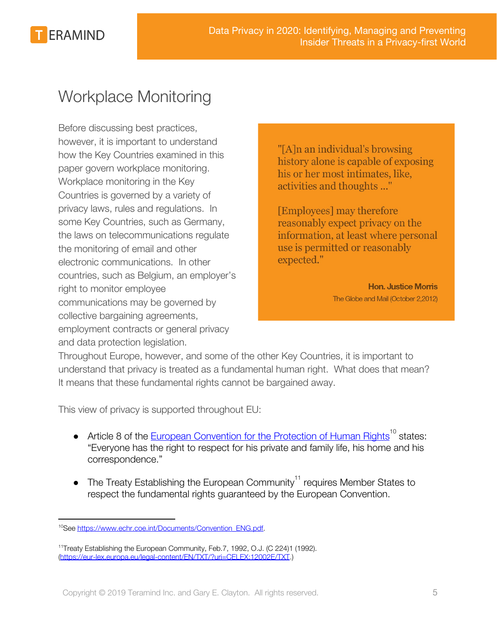

### <span id="page-4-0"></span>Workplace Monitoring

Before discussing best practices, however, it is important to understand how the Key Countries examined in this paper govern workplace monitoring. Workplace monitoring in the Key Countries is governed by a variety of privacy laws, rules and regulations. In some Key Countries, such as Germany, the laws on telecommunications regulate the monitoring of email and other electronic communications. In other countries, such as Belgium, an employer's right to monitor employee communications may be governed by collective bargaining agreements, employment contracts or general privacy and data protection legislation.

"[A]n an individual's browsing history alone is capable of exposing his or her most intimates, like, activities and thoughts ..."

[Employees] may therefore reasonably expect privacy on the information, at least where personal use is permitted or reasonably expected."

> **Hon. Justice Morris** The Globe and Mail (October 2,2012)

Throughout Europe, however, and some of the other Key Countries, it is important to understand that privacy is treated as a fundamental human right. What does that mean? It means that these fundamental rights cannot be bargained away.

This view of privacy is supported throughout EU:

- Article 8 of the [European Convention for the Protection of Human Rights](https://www.echr.coe.int/Documents/Convention_ENG.pdf)<sup>10</sup> states: "Everyone has the right to respect for his private and family life, his home and his correspondence."
- The Treaty Establishing the European Community<sup>11</sup> requires Member States to respect the fundamental rights guaranteed by the European Convention.

<sup>&</sup>lt;sup>10</sup>See [https://www.echr.coe.int/Documents/Convention\\_ENG.pdf.](https://www.echr.coe.int/Documents/Convention_ENG.pdf)

<sup>&</sup>lt;sup>11</sup>Treaty Establishing the European Community, Feb.7, 1992, O.J. (C 224)1 (1992). [\(https://eur-lex.europa.eu/legal-content/EN/TXT/?uri=CELEX:12002E/TXT](https://eur-lex.europa.eu/legal-content/EN/TXT/?uri=CELEX:12002E/TXT).)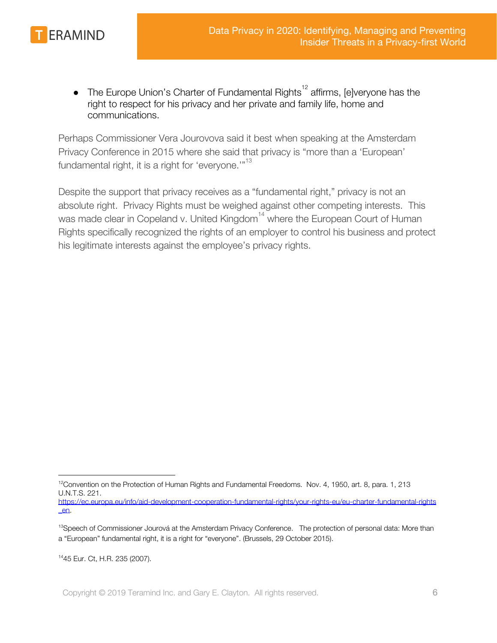

The Europe Union's Charter of Fundamental Rights<sup>12</sup> affirms, [e]veryone has the right to respect for his privacy and her private and family life, home and communications.

Perhaps Commissioner Vera Jourovova said it best when speaking at the Amsterdam Privacy Conference in 2015 where she said that privacy is "more than a 'European' fundamental right, it is a right for 'everyone.'"<sup>13</sup>

Despite the support that privacy receives as a "fundamental right," privacy is not an absolute right. Privacy Rights must be weighed against other competing interests. This was made clear in Copeland v. United Kingdom<sup>14</sup> where the European Court of Human Rights specifically recognized the rights of an employer to control his business and protect his legitimate interests against the employee's privacy rights.

[\\_en](https://ec.europa.eu/info/aid-development-cooperation-fundamental-rights/your-rights-eu/eu-charter-fundamental-rights_en).

<sup>14</sup>45 Eur. Ct, H.R. 235 (2007).

 $12$ Convention on the Protection of Human Rights and Fundamental Freedoms. Nov. 4, 1950, art. 8, para. 1, 213 U.N.T.S. 221. [https://ec.europa.eu/info/aid-development-cooperation-fundamental-rights/your-rights-eu/eu-charter-fundamental-rights](https://ec.europa.eu/info/aid-development-cooperation-fundamental-rights/your-rights-eu/eu-charter-fundamental-rights_en)

<sup>&</sup>lt;sup>13</sup>Speech of Commissioner Jourová at the Amsterdam Privacy Conference. The protection of personal data: More than a "European" fundamental right, it is a right for "everyone". (Brussels, 29 October 2015).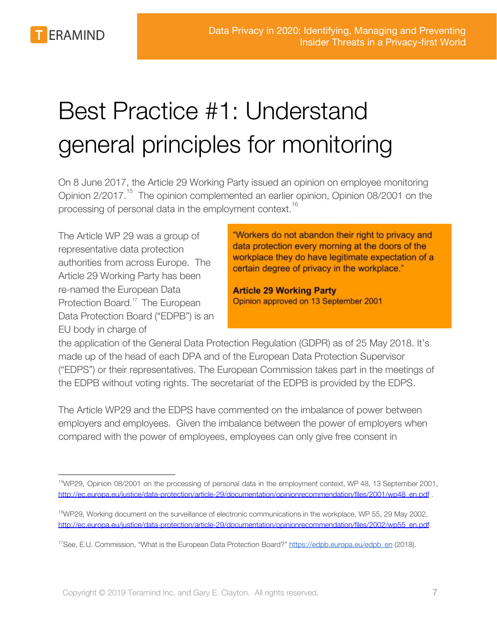# <span id="page-6-0"></span>Best Practice #1: Understand general principles for monitoring

On 8 June 2017, the Article 29 Working Party issued an opinion on employee monitoring Opinion 2/2017.<sup>15</sup> The opinion complemented an earlier opinion, Opinion 08/2001 on the processing of personal data in the employment context.<sup>16</sup>

The Article WP 29 was a group of representative data protection authorities from across Europe. The Article 29 Working Party has been re-named the European Data Protection Board.<sup>17</sup> The European Data Protection Board ("EDPB") is an EU body in charge of

"Workers do not abandon their right to privacy and data protection every morning at the doors of the workplace they do have legitimate expectation of a certain degree of privacy in the workplace."

**Article 29 Working Party** Opinion approved on 13 September 2001

the application of the General Data Protection Regulation (GDPR) as of 25 May 2018. It's made up of the head of each DPA and of the European Data Protection Supervisor ("EDPS") or their representatives. The European Commission takes part in the meetings of the EDPB without voting rights. The secretariat of the EDPB is provided by the EDPS.

The Article WP29 and the EDPS have commented on the imbalance of power between employers and employees. Given the imbalance between the power of employers when compared with the power of employees, employees can only give free consent in

<sup>&</sup>lt;sup>15</sup>WP29, Opinion 08/2001 on the processing of personal data in the employment context, WP 48, 13 September 2001, [http://ec.europa.eu/justice/data-protection/article-29/documentation/opinionrecommendation/files/2001/wp48\\_en.pdf](http://ec.europa.eu/justice/data-protection/article-29/documentation/opinionrecommendation/files/2001/wp48_en.pdf) .

<sup>16</sup>WP29, Working document on the surveillance of electronic communications in the workplace, WP 55, 29 May 2002, [http://ec.europa.eu/justice/data-protection/article-29/documentation/opinionrecommendation/files/2002/wp55\\_en.pdf.](http://ec.europa.eu/justice/data-protection/article-29/documentation/opinionrecommendation/files/2002/wp55_en.pdf)

<sup>&</sup>lt;sup>17</sup>See, E.U. Commission, "What is the European Data Protection Board?" [https://edpb.europa.eu/edpb\\_en](https://edpb.europa.eu/edpb_en) (2018).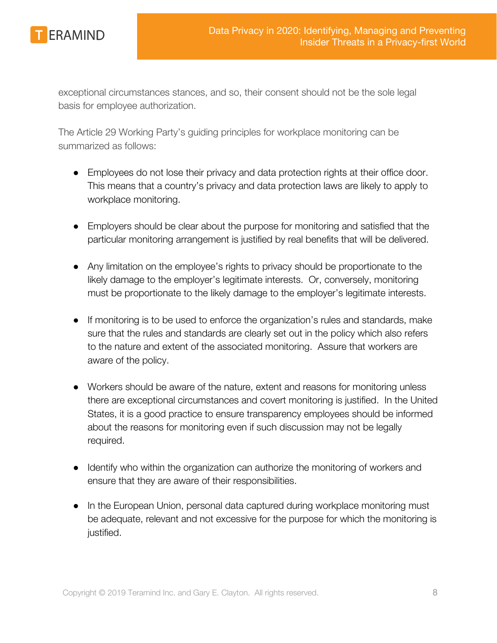

exceptional circumstances stances, and so, their consent should not be the sole legal basis for employee authorization.

The Article 29 Working Party's guiding principles for workplace monitoring can be summarized as follows:

- Employees do not lose their privacy and data protection rights at their office door. This means that a country's privacy and data protection laws are likely to apply to workplace monitoring.
- Employers should be clear about the purpose for monitoring and satisfied that the particular monitoring arrangement is justified by real benefits that will be delivered.
- Any limitation on the employee's rights to privacy should be proportionate to the likely damage to the employer's legitimate interests. Or, conversely, monitoring must be proportionate to the likely damage to the employer's legitimate interests.
- If monitoring is to be used to enforce the organization's rules and standards, make sure that the rules and standards are clearly set out in the policy which also refers to the nature and extent of the associated monitoring. Assure that workers are aware of the policy.
- Workers should be aware of the nature, extent and reasons for monitoring unless there are exceptional circumstances and covert monitoring is justified. In the United States, it is a good practice to ensure transparency employees should be informed about the reasons for monitoring even if such discussion may not be legally required.
- Identify who within the organization can authorize the monitoring of workers and ensure that they are aware of their responsibilities.
- In the European Union, personal data captured during workplace monitoring must be adequate, relevant and not excessive for the purpose for which the monitoring is justified.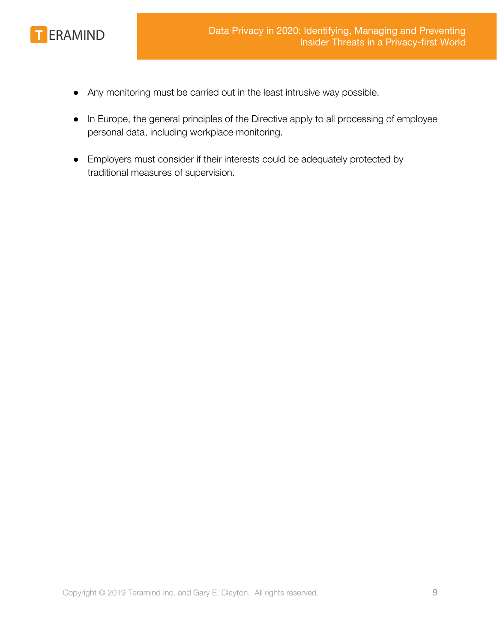

- Any monitoring must be carried out in the least intrusive way possible.
- In Europe, the general principles of the Directive apply to all processing of employee personal data, including workplace monitoring.
- Employers must consider if their interests could be adequately protected by traditional measures of supervision.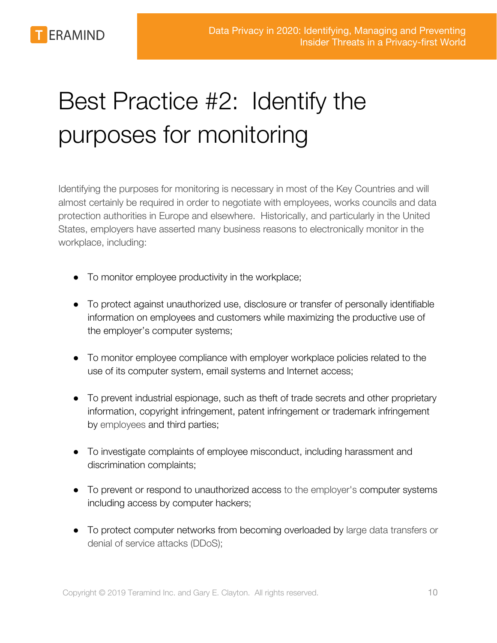

# <span id="page-9-0"></span>Best Practice #2: Identify the purposes for monitoring

Identifying the purposes for monitoring is necessary in most of the Key Countries and will almost certainly be required in order to negotiate with employees, works councils and data protection authorities in Europe and elsewhere. Historically, and particularly in the United States, employers have asserted many business reasons to electronically monitor in the workplace, including:

- To monitor employee productivity in the workplace;
- To protect against unauthorized use, disclosure or transfer of personally identifiable information on employees and customers while maximizing the productive use of the employer's computer systems;
- To monitor employee compliance with employer workplace policies related to the use of its computer system, email systems and Internet access;
- To prevent industrial espionage, such as theft of trade secrets and other proprietary information, copyright infringement, patent infringement or trademark infringement by employees and third parties;
- To investigate complaints of employee misconduct, including harassment and discrimination complaints;
- To prevent or respond to unauthorized access to the employer's computer systems including access by computer hackers;
- To protect computer networks from becoming overloaded by large data transfers or denial of service attacks (DDoS);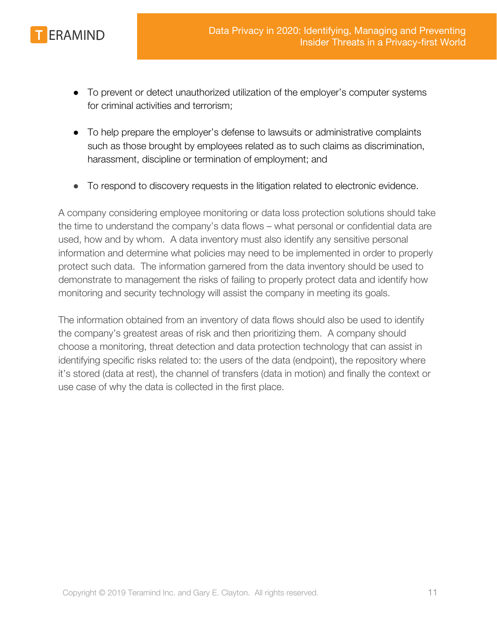

- To prevent or detect unauthorized utilization of the employer's computer systems for criminal activities and terrorism;
- To help prepare the employer's defense to lawsuits or administrative complaints such as those brought by employees related as to such claims as discrimination, harassment, discipline or termination of employment; and
- To respond to discovery requests in the litigation related to electronic evidence.

A company considering employee monitoring or data loss protection solutions should take the time to understand the company's data flows – what personal or confidential data are used, how and by whom. A data inventory must also identify any sensitive personal information and determine what policies may need to be implemented in order to properly protect such data. The information garnered from the data inventory should be used to demonstrate to management the risks of failing to properly protect data and identify how monitoring and security technology will assist the company in meeting its goals.

The information obtained from an inventory of data flows should also be used to identify the company's greatest areas of risk and then prioritizing them. A company should choose a monitoring, threat detection and data protection technology that can assist in identifying specific risks related to: the users of the data (endpoint), the repository where it's stored (data at rest), the channel of transfers (data in motion) and finally the context or use case of why the data is collected in the first place.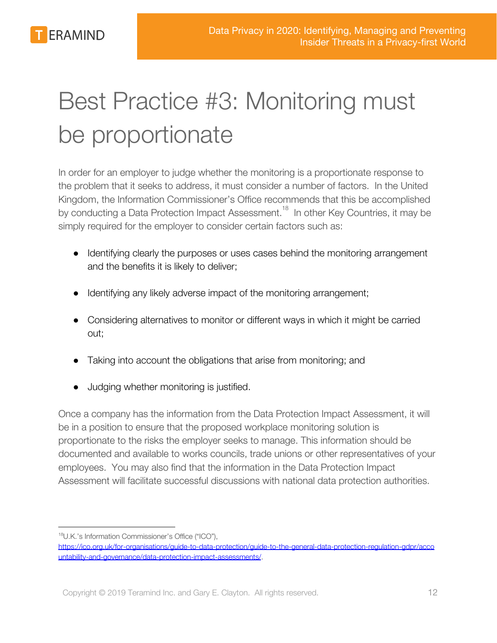

# <span id="page-11-0"></span>Best Practice #3: Monitoring must be proportionate

In order for an employer to judge whether the monitoring is a proportionate response to the problem that it seeks to address, it must consider a number of factors. In the United Kingdom, the Information Commissioner's Office recommends that this be accomplished by conducting a Data Protection Impact Assessment.<sup>18</sup> In other Key Countries, it may be simply required for the employer to consider certain factors such as:

- Identifying clearly the purposes or uses cases behind the monitoring arrangement and the benefits it is likely to deliver;
- Identifying any likely adverse impact of the monitoring arrangement;
- Considering alternatives to monitor or different ways in which it might be carried out;
- Taking into account the obligations that arise from monitoring; and
- Judging whether monitoring is justified.

Once a company has the information from the Data Protection Impact Assessment, it will be in a position to ensure that the proposed workplace monitoring solution is proportionate to the risks the employer seeks to manage. This information should be documented and available to works councils, trade unions or other representatives of your employees. You may also find that the information in the Data Protection Impact Assessment will facilitate successful discussions with national data protection authorities.

<sup>18</sup>U.K.'s Information Commissioner's Office ("ICO"),

[https://ico.org.uk/for-organisations/guide-to-data-protection/guide-to-the-general-data-protection-regulation-gdpr/acco](https://ico.org.uk/for-organisations/guide-to-data-protection/guide-to-the-general-data-protection-regulation-gdpr/accountability-and-governance/data-protection-impact-assessments/) [untability-and-governance/data-protection-impact-assessments/](https://ico.org.uk/for-organisations/guide-to-data-protection/guide-to-the-general-data-protection-regulation-gdpr/accountability-and-governance/data-protection-impact-assessments/).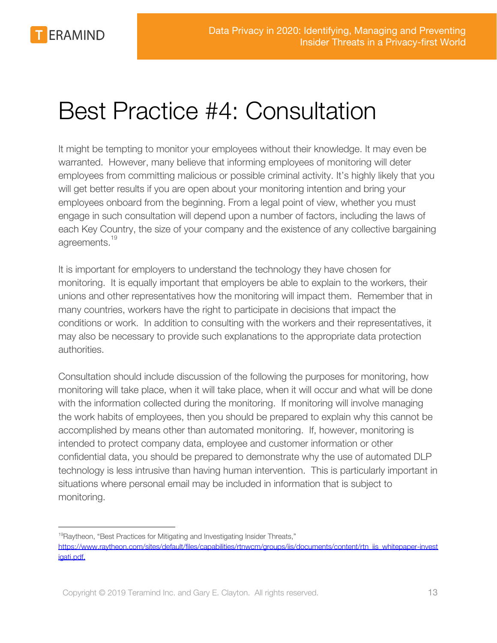**ERAMIND** 

## <span id="page-12-0"></span>Best Practice #4: Consultation

It might be tempting to monitor your employees without their knowledge. It may even be warranted. However, many believe that informing employees of monitoring will deter employees from committing malicious or possible criminal activity. It's highly likely that you will get better results if you are open about your monitoring intention and bring your employees onboard from the beginning. From a legal point of view, whether you must engage in such consultation will depend upon a number of factors, including the laws of each Key Country, the size of your company and the existence of any collective bargaining agreements.<sup>19</sup>

It is important for employers to understand the technology they have chosen for monitoring. It is equally important that employers be able to explain to the workers, their unions and other representatives how the monitoring will impact them. Remember that in many countries, workers have the right to participate in decisions that impact the conditions or work. In addition to consulting with the workers and their representatives, it may also be necessary to provide such explanations to the appropriate data protection authorities.

Consultation should include discussion of the following the purposes for monitoring, how monitoring will take place, when it will take place, when it will occur and what will be done with the information collected during the monitoring. If monitoring will involve managing the work habits of employees, then you should be prepared to explain why this cannot be accomplished by means other than automated monitoring. If, however, monitoring is intended to protect company data, employee and customer information or other confidential data, you should be prepared to demonstrate why the use of automated DLP technology is less intrusive than having human intervention. This is particularly important in situations where personal email may be included in information that is subject to monitoring.

<sup>&</sup>lt;sup>19</sup>Raytheon, "Best Practices for Mitigating and Investigating Insider Threats,"

[https://www.raytheon.com/sites/default/files/capabilities/rtnwcm/groups/iis/documents/content/rtn\\_iis\\_whitepaper-invest](https://www.raytheon.com/sites/default/files/capabilities/rtnwcm/groups/iis/documents/content/rtn_iis_whitepaper-investigati.pdf) [igati.pdf.](https://www.raytheon.com/sites/default/files/capabilities/rtnwcm/groups/iis/documents/content/rtn_iis_whitepaper-investigati.pdf)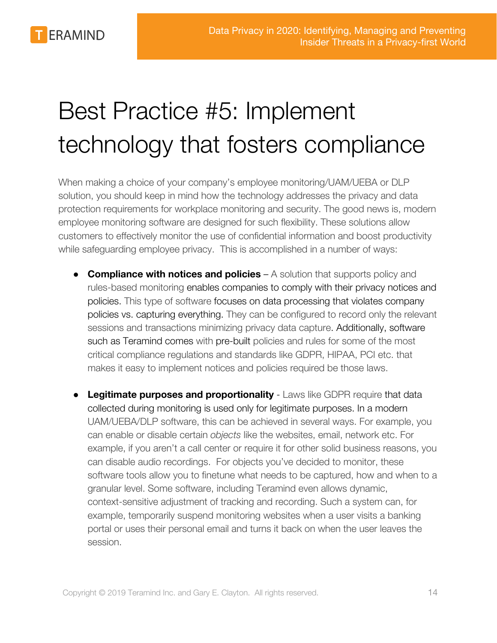

# <span id="page-13-0"></span>Best Practice #5: Implement technology that fosters compliance

When making a choice of your company's employee monitoring/UAM/UEBA or DLP solution, you should keep in mind how the technology addresses the privacy and data protection requirements for workplace monitoring and security. The good news is, modern employee monitoring software are designed for such flexibility. These solutions allow customers to effectively monitor the use of confidential information and boost productivity while safeguarding employee privacy. This is accomplished in a number of ways:

- **● Compliance with notices and policies** A solution that supports policy and rules-based monitoring enables companies to comply with their privacy notices and policies. This type of software focuses on data processing that violates company policies vs. capturing everything. They can be configured to record only the relevant sessions and transactions minimizing privacy data capture. Additionally, software such as Teramind comes with pre-built policies and rules for some of the most critical compliance regulations and standards like GDPR, HIPAA, PCI etc. that makes it easy to implement notices and policies required be those laws.
- **● Legitimate purposes and proportionality** Laws like GDPR require that data collected during monitoring is used only for legitimate purposes. In a modern UAM/UEBA/DLP software, this can be achieved in several ways. For example, you can enable or disable certain *objects* like the websites, email, network etc. For example, if you aren't a call center or require it for other solid business reasons, you can disable audio recordings. For objects you've decided to monitor, these software tools allow you to finetune what needs to be captured, how and when to a granular level. Some software, including Teramind even allows dynamic, context-sensitive adjustment of tracking and recording. Such a system can, for example, temporarily suspend monitoring websites when a user visits a banking portal or uses their personal email and turns it back on when the user leaves the session.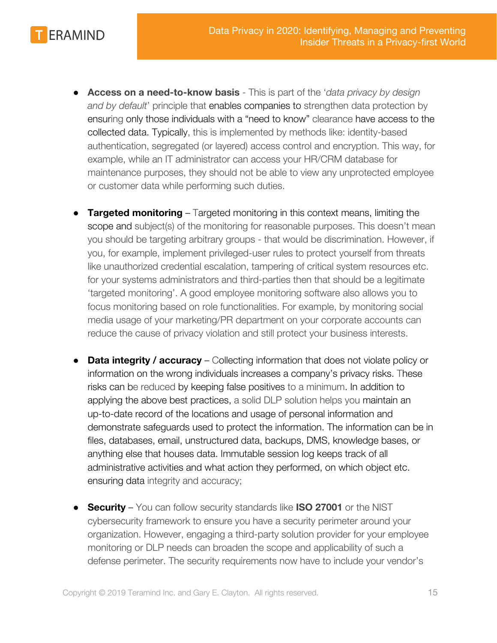

- **● Access on a need-to-know basis** This is part of the '*data privacy by design and by default*' principle that enables companies to strengthen data protection by ensuring only those individuals with a "need to know" clearance have access to the collected data. Typically, this is implemented by methods like: identity-based authentication, segregated (or layered) access control and encryption. This way, for example, while an IT administrator can access your HR/CRM database for maintenance purposes, they should not be able to view any unprotected employee or customer data while performing such duties.
- **Targeted monitoring** Targeted monitoring in this context means, limiting the scope and subject(s) of the monitoring for reasonable purposes. This doesn't mean you should be targeting arbitrary groups - that would be discrimination. However, if you, for example, implement privileged-user rules to protect yourself from threats like unauthorized credential escalation, tampering of critical system resources etc. for your systems administrators and third-parties then that should be a legitimate 'targeted monitoring'. A good employee monitoring software also allows you to focus monitoring based on role functionalities. For example, by monitoring social media usage of your marketing/PR department on your corporate accounts can reduce the cause of privacy violation and still protect your business interests.
- **Data integrity / accuracy**  Collecting information that does not violate policy or information on the wrong individuals increases a company's privacy risks. These risks can be reduced by keeping false positives to a minimum. In addition to applying the above best practices, a solid DLP solution helps you maintain an up-to-date record of the locations and usage of personal information and demonstrate safeguards used to protect the information. The information can be in files, databases, email, unstructured data, backups, DMS, knowledge bases, or anything else that houses data. Immutable session log keeps track of all administrative activities and what action they performed, on which object etc. ensuring data integrity and accuracy;
- **Security** You can follow security standards like **ISO 27001** or the NIST cybersecurity framework to ensure you have a security perimeter around your organization. However, engaging a third-party solution provider for your employee monitoring or DLP needs can broaden the scope and applicability of such a defense perimeter. The security requirements now have to include your vendor's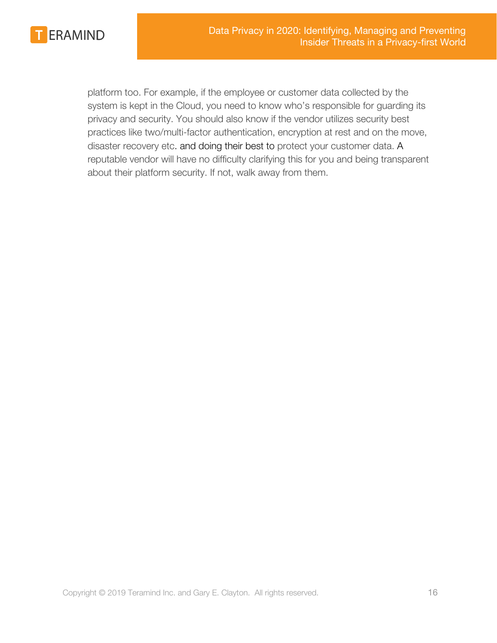

platform too. For example, if the employee or customer data collected by the system is kept in the Cloud, you need to know who's responsible for guarding its privacy and security. You should also know if the vendor utilizes security best practices like two/multi-factor authentication, encryption at rest and on the move, disaster recovery etc. and doing their best to protect your customer data. A reputable vendor will have no difficulty clarifying this for you and being transparent about their platform security. If not, walk away from them.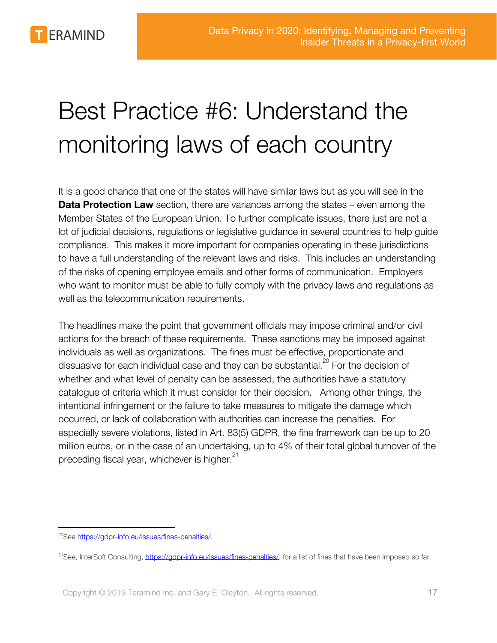

# <span id="page-16-0"></span>Best Practice #6: Understand the monitoring laws of each country

It is a good chance that one of the states will have similar laws but as you will see in the **Data Protection Law** section, there are variances among the states – even among the Member States of the European Union. To further complicate issues, there just are not a lot of judicial decisions, regulations or legislative guidance in several countries to help guide compliance. This makes it more important for companies operating in these jurisdictions to have a full understanding of the relevant laws and risks. This includes an understanding of the risks of opening employee emails and other forms of communication. Employers who want to monitor must be able to fully comply with the privacy laws and regulations as well as the telecommunication requirements.

The headlines make the point that government officials may impose criminal and/or civil actions for the breach of these requirements. These sanctions may be imposed against individuals as well as organizations. The fines must be effective, proportionate and dissuasive for each individual case and they can be substantial.<sup>20</sup> For the decision of whether and what level of penalty can be assessed, the authorities have a statutory catalogue of criteria which it must consider for their decision. Among other things, the intentional infringement or the failure to take measures to mitigate the damage which occurred, or lack of collaboration with authorities can increase the penalties. For especially severe violations, listed in Art. 83(5) GDPR, the fine framework can be up to 20 million euros, or in the case of an undertaking, up to 4% of their total global turnover of the preceding fiscal year, whichever is higher.<sup>21</sup>

<sup>&</sup>lt;sup>20</sup>See https://adpr-info.eu/issues/fines-penalties/.

<sup>&</sup>lt;sup>21</sup>See, InterSoft Consulting, [https://gdpr-info.eu/issues/fines-penalties/,](https://gdpr-info.eu/issues/fines-penalties/) for a list of fines that have been imposed so far.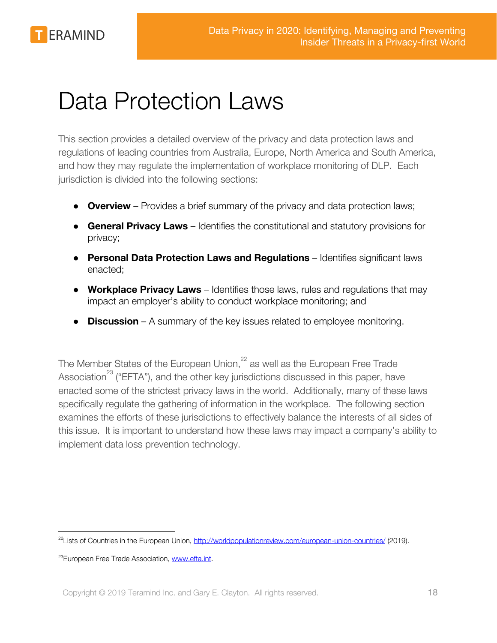**ERAMIND** 

# <span id="page-17-0"></span>Data Protection Laws

This section provides a detailed overview of the privacy and data protection laws and regulations of leading countries from Australia, Europe, North America and South America, and how they may regulate the implementation of workplace monitoring of DLP. Each jurisdiction is divided into the following sections:

- **Overview** Provides a brief summary of the privacy and data protection laws;
- **General Privacy Laws**  Identifies the constitutional and statutory provisions for privacy;
- **Personal Data Protection Laws and Regulations** Identifies significant laws enacted;
- **Workplace Privacy Laws** Identifies those laws, rules and regulations that may impact an employer's ability to conduct workplace monitoring; and
- **Discussion**  A summary of the key issues related to employee monitoring.

The Member States of the European Union,<sup>22</sup> as well as the European Free Trade Association<sup>23</sup> ("EFTA"), and the other key jurisdictions discussed in this paper, have enacted some of the strictest privacy laws in the world. Additionally, many of these laws specifically regulate the gathering of information in the workplace. The following section examines the efforts of these jurisdictions to effectively balance the interests of all sides of this issue. It is important to understand how these laws may impact a company's ability to implement data loss prevention technology.

<sup>&</sup>lt;sup>22</sup>Lists of Countries in the European Union,<http://worldpopulationreview.com/european-union-countries/> (2019).

<sup>&</sup>lt;sup>23</sup>European Free Trade Association, [www.efta.int](http://www.efta.int/).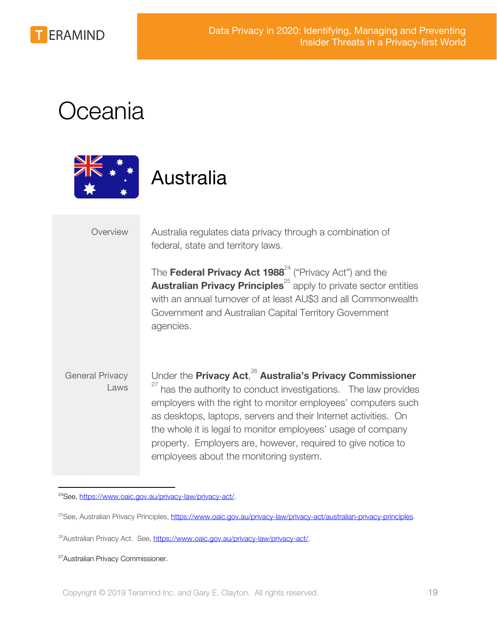

## <span id="page-18-0"></span>Oceania



### <span id="page-18-1"></span>Australia

Overview Australia regulates data privacy through a combination of federal, state and territory laws.

> The **Federal Privacy Act 1988**<sup>24</sup> ("Privacy Act") and the **Australian Privacy Principles**<sup>25</sup> apply to private sector entities with an annual turnover of at least AU\$3 and all Commonwealth Government and Australian Capital Territory Government agencies.

### General Privacy Laws Under the **Privacy Act**,<sup>26</sup> Australia's Privacy Commissioner  $27$  has the authority to conduct investigations. The law provides employers with the right to monitor employees' computers such as desktops, laptops, servers and their Internet activities. On the whole it is legal to monitor employees' usage of company property. Employers are, however, required to give notice to employees about the monitoring system.

<sup>24</sup>See, [https://www.oaic.gov.au/privacy-law/privacy-act/.](https://www.oaic.gov.au/privacy-law/privacy-act/)

<sup>&</sup>lt;sup>25</sup>See, Australian Privacy Principles, <https://www.oaic.gov.au/privacy-law/privacy-act/australian-privacy-principles>.

<sup>&</sup>lt;sup>26</sup>Australian Privacy Act. See, [https://www.oaic.gov.au/privacy-law/privacy-act/.](https://www.oaic.gov.au/privacy-law/privacy-act/)

<sup>&</sup>lt;sup>27</sup> Australian Privacy Commissioner.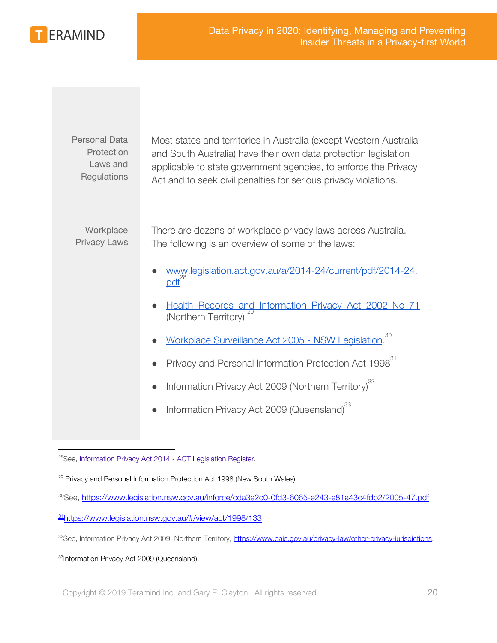ERAMIND

| <b>Personal Data</b><br>Protection<br>Laws and<br>Regulations | Most states and territories in Australia (except Western Australia<br>and South Australia) have their own data protection legislation<br>applicable to state government agencies, to enforce the Privacy<br>Act and to seek civil penalties for serious privacy violations. |
|---------------------------------------------------------------|-----------------------------------------------------------------------------------------------------------------------------------------------------------------------------------------------------------------------------------------------------------------------------|
| Workplace<br><b>Privacy Laws</b>                              | There are dozens of workplace privacy laws across Australia.<br>The following is an overview of some of the laws:                                                                                                                                                           |
|                                                               | www.legislation.act.gov.au/a/2014-24/current/pdf/2014-24.<br>$pdf^{28}$                                                                                                                                                                                                     |
|                                                               | Health Records and Information Privacy Act 2002 No 71<br>(Northern Territory).                                                                                                                                                                                              |
|                                                               | 30<br>Workplace Surveillance Act 2005 - NSW Legislation.                                                                                                                                                                                                                    |
|                                                               | Privacy and Personal Information Protection Act 1998 <sup>31</sup>                                                                                                                                                                                                          |
|                                                               | Information Privacy Act 2009 (Northern Territory) <sup>32</sup>                                                                                                                                                                                                             |
|                                                               | Information Privacy Act 2009 (Queensland) <sup>33</sup>                                                                                                                                                                                                                     |
|                                                               |                                                                                                                                                                                                                                                                             |

<sup>33</sup>Information Privacy Act 2009 (Queensland).

<sup>&</sup>lt;sup>28</sup>See, [Information Privacy Act 2014 - ACT Legislation Register.](http://www.legislation.act.gov.au/a/2014-24/current/pdf/2014-24.pdf)

<sup>&</sup>lt;sup>29</sup> Privacy and Personal Information Protection Act 1998 (New South Wales).

<sup>30</sup>See, <https://www.legislation.nsw.gov.au/inforce/cda3e2c0-0fd3-6065-e243-e81a43c4fdb2/2005-47.pdf>

<sup>31</sup><https://www.legislation.nsw.gov.au/#/view/act/1998/133>

<sup>32</sup>See, Information Privacy Act 2009, Northern Territory, <https://www.oaic.gov.au/privacy-law/other-privacy-jurisdictions>.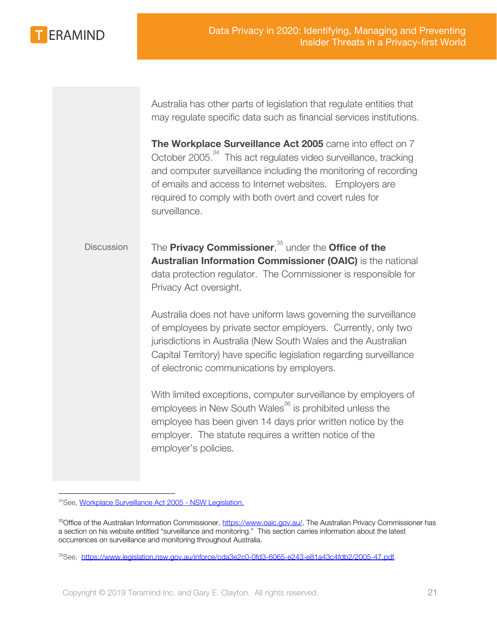

Australia has other parts of legislation that regulate entities that may regulate specific data such as financial services institutions.

**The Workplace Surveillance Act 2005** came into effect on 7 October 2005.<sup>34</sup> This act regulates video surveillance, tracking and computer surveillance including the monitoring of recording of emails and access to Internet websites. Employers are required to comply with both overt and covert rules for surveillance.

Discussion The **Privacy Commissioner**,<sup>35</sup> under the **Office of the Australian Information Commissioner (OAIC)** is the national data protection regulator. The Commissioner is responsible for Privacy Act oversight.

> Australia does not have uniform laws governing the surveillance of employees by private sector employers. Currently, only two jurisdictions in Australia (New South Wales and the Australian Capital Territory) have specific legislation regarding surveillance of electronic communications by employers.

> With limited exceptions, computer surveillance by employers of employees in New South Wales<sup>36</sup> is prohibited unless the employee has been given 14 days prior written notice by the employer. The statute requires a written notice of the employer's policies.

<sup>34</sup>See, [Workplace Surveillance Act 2005 - NSW Legislation.](https://www.legislation.nsw.gov.au/inforce/cda3e2c0-0fd3-6065-e243-e81a43c4fdb2/2005-47.pdf)

<sup>&</sup>lt;sup>35</sup>Office of the Australian Information Commissioner, [https://www.oaic.gov.au/.](https://www.oaic.gov.au/) The Australian Privacy Commissioner has a section on his website entitled "surveillance and monitoring." This section carries information about the latest occurrences on surveillance and monitoring throughout Australia.

<sup>&</sup>lt;sup>36</sup>See, [https://www.legislation.nsw.gov.au/inforce/cda3e2c0-0fd3-6065-e243-e81a43c4fdb2/2005-47.pdf.](https://www.legislation.nsw.gov.au/inforce/cda3e2c0-0fd3-6065-e243-e81a43c4fdb2/2005-47.pdf)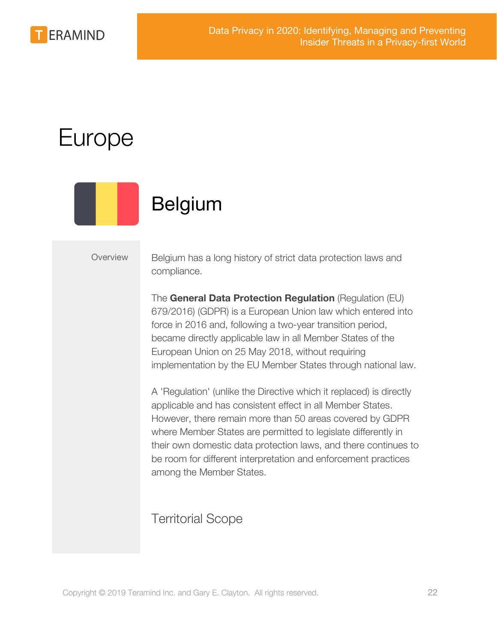

## <span id="page-21-0"></span>Europe



## <span id="page-21-1"></span>Belgium

Overview Belgium has a long history of strict data protection laws and compliance.

> The **General Data Protection Regulation** (Regulation (EU) 679/2016) (GDPR) is a European Union law which entered into force in 2016 and, following a two-year transition period, became directly applicable law in all Member States of the European Union on 25 May 2018, without requiring implementation by the EU Member States through national law.

A 'Regulation' (unlike the Directive which it replaced) is directly applicable and has consistent effect in all Member States. However, there remain more than 50 areas covered by GDPR where Member States are permitted to legislate differently in their own domestic data protection laws, and there continues to be room for different interpretation and enforcement practices among the Member States.

### Territorial Scope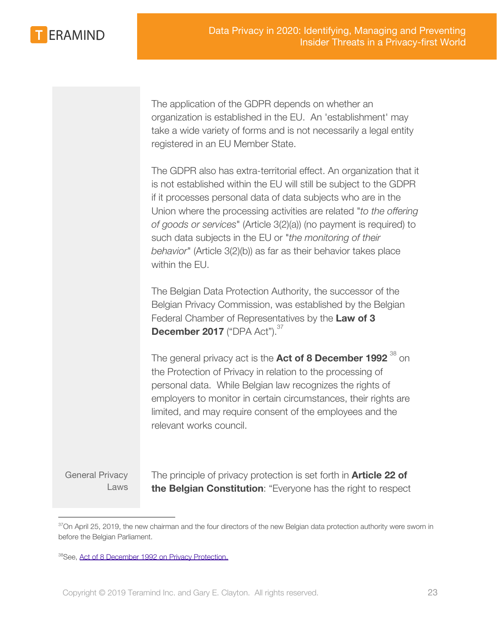**ERAMIND** 

The application of the GDPR depends on whether an organization is established in the EU. An 'establishment' may take a wide variety of forms and is not necessarily a legal entity registered in an EU Member State.

The GDPR also has extra-territorial effect. An organization that it is not established within the EU will still be subject to the GDPR if it processes personal data of data subjects who are in the Union where the processing activities are related "*to the offering of goods or services*" (Article 3(2)(a)) (no payment is required) to such data subjects in the EU or "*the monitoring of their behavior*" (Article 3(2)(b)) as far as their behavior takes place within the EU.

The Belgian Data Protection Authority, the successor of the Belgian Privacy Commission, was established by the Belgian Federal Chamber of Representatives by the **Law of 3 December 2017** ("DPA Act").<sup>37</sup>

The general privacy act is the **Act of 8 December 1992**  $^{38}$  on the Protection of Privacy in relation to the processing of personal data. While Belgian law recognizes the rights of employers to monitor in certain circumstances, their rights are limited, and may require consent of the employees and the relevant works council.

General Privacy Laws The principle of privacy protection is set forth in **Article 22 of the Belgian Constitution**: "Everyone has the right to respect

 $37$ On April 25, 2019, the new chairman and the four directors of the new Belgian data protection authority were sworn in before the Belgian Parliament.

<sup>38</sup>See, [Act of 8 December 1992 on Privacy Protection.](http://www.legislationline.org/download/action/download/id/2638/file/Belgium_Protection_Privacy_Processing_Data_Act_1992upd2008.pdf)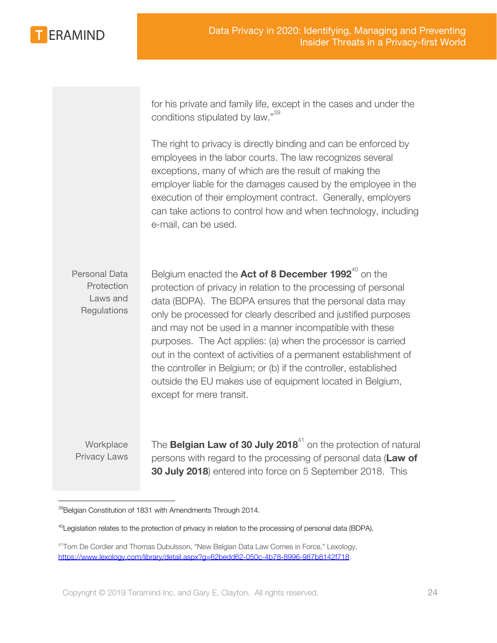

for his private and family life, except in the cases and under the conditions stipulated by law."<sup>39</sup>

The right to privacy is directly binding and can be enforced by employees in the labor courts. The law recognizes several exceptions, many of which are the result of making the employer liable for the damages caused by the employee in the execution of their employment contract. Generally, employers can take actions to control how and when technology, including e-mail, can be used.

Personal Data **Protection** Laws and **Regulations** Belgium enacted the Act of 8 December 1992<sup>40</sup> on the protection of privacy in relation to the processing of personal data (BDPA). The BDPA ensures that the personal data may only be processed for clearly described and justified purposes and may not be used in a manner incompatible with these purposes. The Act applies: (a) when the processor is carried out in the context of activities of a permanent establishment of the controller in Belgium; or (b) if the controller, established outside the EU makes use of equipment located in Belgium, except for mere transit.

**Workplace** Privacy Laws The **Belgian Law of 30 July 2018**<sup>41</sup> on the protection of natural persons with regard to the processing of personal data (**Law of 30 July 2018**) entered into force on 5 September 2018. This

<sup>&</sup>lt;sup>39</sup>Belgian Constitution of 1831 with Amendments Through 2014.

<sup>&</sup>lt;sup>40</sup>Legislation relates to the protection of privacy in relation to the processing of personal data (BDPA).

<sup>41</sup>Tom De Cordier and Thomas Dubulsson, "New Belgian Data Law Comes in Force," Lexology, <https://www.lexology.com/library/detail.aspx?g=62bedd62-050c-4b78-8996-987b8142f718>.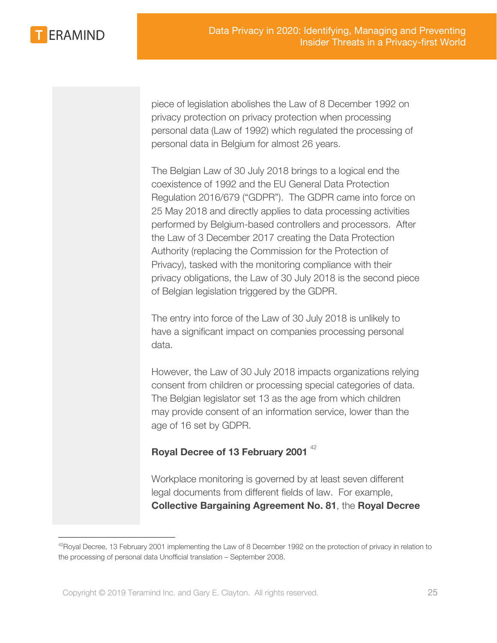

piece of legislation abolishes the Law of 8 December 1992 on privacy protection on privacy protection when processing personal data (Law of 1992) which regulated the processing of personal data in Belgium for almost 26 years.

The Belgian Law of 30 July 2018 brings to a logical end the coexistence of 1992 and the EU General Data Protection Regulation 2016/679 ("GDPR"). The GDPR came into force on 25 May 2018 and directly applies to data processing activities performed by Belgium-based controllers and processors. After the Law of 3 December 2017 creating the Data Protection Authority (replacing the Commission for the Protection of Privacy), tasked with the monitoring compliance with their privacy obligations, the Law of 30 July 2018 is the second piece of Belgian legislation triggered by the GDPR.

The entry into force of the Law of 30 July 2018 is unlikely to have a significant impact on companies processing personal data.

However, the Law of 30 July 2018 impacts organizations relying consent from children or processing special categories of data. The Belgian legislator set 13 as the age from which children may provide consent of an information service, lower than the age of 16 set by GDPR.

### **Royal Decree of 13 February 2001** <sup>42</sup>

Workplace monitoring is governed by at least seven different legal documents from different fields of law. For example, **Collective Bargaining Agreement No. 81**, the **Royal Decree**

 $42$ Royal Decree, 13 February 2001 implementing the Law of 8 December 1992 on the protection of privacy in relation to the processing of personal data Unofficial translation – September 2008.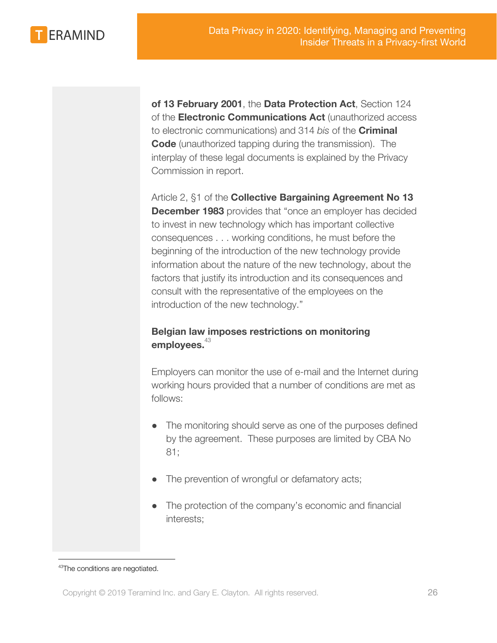

**of 13 February 2001**, the **Data Protection Act**, Section 124 of the **Electronic Communications Act** (unauthorized access to electronic communications) and 314 *bis* of the **Criminal Code** (unauthorized tapping during the transmission). The interplay of these legal documents is explained by the Privacy Commission in report.

Article 2, §1 of the **Collective Bargaining Agreement No 13 December 1983** provides that "once an employer has decided to invest in new technology which has important collective consequences . . . working conditions, he must before the beginning of the introduction of the new technology provide information about the nature of the new technology, about the factors that justify its introduction and its consequences and consult with the representative of the employees on the introduction of the new technology."

### **Belgian law imposes restrictions on monitoring** employees.<sup>43</sup>

Employers can monitor the use of e-mail and the Internet during working hours provided that a number of conditions are met as follows:

- The monitoring should serve as one of the purposes defined by the agreement. These purposes are limited by CBA No 81;
- The prevention of wrongful or defamatory acts;
- The protection of the company's economic and financial interests;

<sup>43</sup>The conditions are negotiated.

Copyright © 2019 Teramind Inc. and Gary E. Clayton. All rights reserved. 26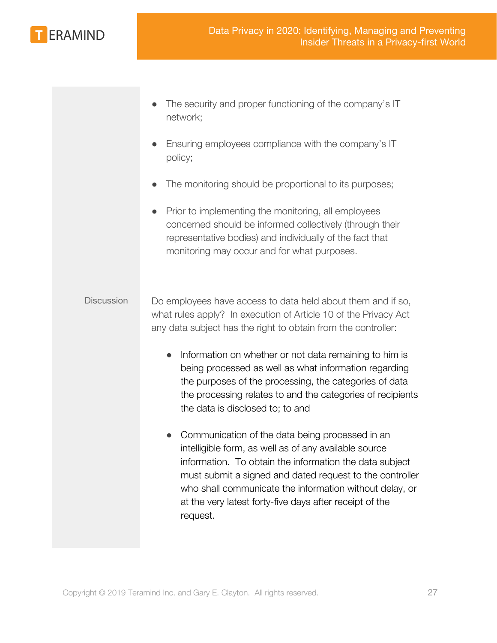

- The security and proper functioning of the company's IT network;
- Ensuring employees compliance with the company's IT policy;
- The monitoring should be proportional to its purposes;
- Prior to implementing the monitoring, all employees concerned should be informed collectively (through their representative bodies) and individually of the fact that monitoring may occur and for what purposes.

### Discussion Do employees have access to data held about them and if so, what rules apply? In execution of Article 10 of the Privacy Act any data subject has the right to obtain from the controller:

- Information on whether or not data remaining to him is being processed as well as what information regarding the purposes of the processing, the categories of data the processing relates to and the categories of recipients the data is disclosed to; to and
- Communication of the data being processed in an intelligible form, as well as of any available source information. To obtain the information the data subject must submit a signed and dated request to the controller who shall communicate the information without delay, or at the very latest forty-five days after receipt of the request.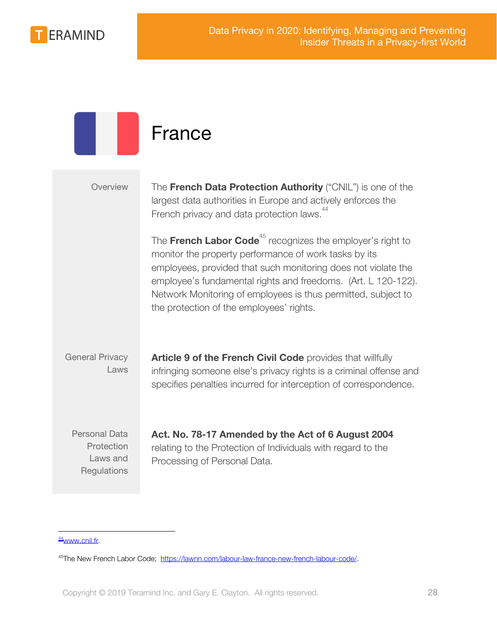

<span id="page-27-0"></span>

|                                                               | France                                                                                                                                                                                                                                                                                                                                                                         |
|---------------------------------------------------------------|--------------------------------------------------------------------------------------------------------------------------------------------------------------------------------------------------------------------------------------------------------------------------------------------------------------------------------------------------------------------------------|
| Overview                                                      | The French Data Protection Authority ("CNIL") is one of the<br>largest data authorities in Europe and actively enforces the<br>French privacy and data protection laws. <sup>44</sup>                                                                                                                                                                                          |
|                                                               | The French Labor Code <sup>45</sup> recognizes the employer's right to<br>monitor the property performance of work tasks by its<br>employees, provided that such monitoring does not violate the<br>employee's fundamental rights and freedoms. (Art. L 120-122).<br>Network Monitoring of employees is thus permitted, subject to<br>the protection of the employees' rights. |
| <b>General Privacy</b><br>Laws                                | Article 9 of the French Civil Code provides that willfully<br>infringing someone else's privacy rights is a criminal offense and<br>specifies penalties incurred for interception of correspondence.                                                                                                                                                                           |
| <b>Personal Data</b><br>Protection<br>Laws and<br>Regulations | Act. No. 78-17 Amended by the Act of 6 August 2004<br>relating to the Protection of Individuals with regard to the<br>Processing of Personal Data.                                                                                                                                                                                                                             |

### <sup>44</sup>[www.cnil.fr](http://www.cnil.fr/).

<sup>45</sup>The New French Labor Code; [https://lawnn.com/labour-law-france-new-french-labour-code/.](https://lawnn.com/labour-law-france-new-french-labour-code/)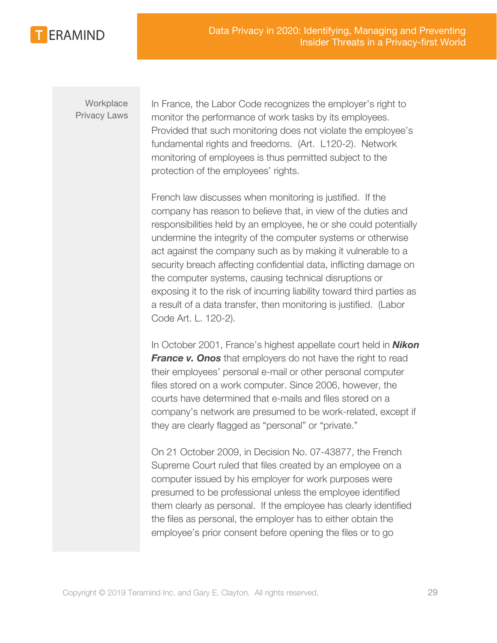

**Workplace** Privacy Laws In France, the Labor Code recognizes the employer's right to monitor the performance of work tasks by its employees. Provided that such monitoring does not violate the employee's fundamental rights and freedoms. (Art. L120-2). Network monitoring of employees is thus permitted subject to the protection of the employees' rights.

French law discusses when monitoring is justified. If the company has reason to believe that, in view of the duties and responsibilities held by an employee, he or she could potentially undermine the integrity of the computer systems or otherwise act against the company such as by making it vulnerable to a security breach affecting confidential data, inflicting damage on the computer systems, causing technical disruptions or exposing it to the risk of incurring liability toward third parties as a result of a data transfer, then monitoring is justified. (Labor Code Art. L. 120-2).

In October 2001, France's highest appellate court held in *Nikon France v. Onos* that employers do not have the right to read their employees' personal e-mail or other personal computer files stored on a work computer. Since 2006, however, the courts have determined that e-mails and files stored on a company's network are presumed to be work-related, except if they are clearly flagged as "personal" or "private."

On 21 October 2009, in Decision No. 07-43877, the French Supreme Court ruled that files created by an employee on a computer issued by his employer for work purposes were presumed to be professional unless the employee identified them clearly as personal. If the employee has clearly identified the files as personal, the employer has to either obtain the employee's prior consent before opening the files or to go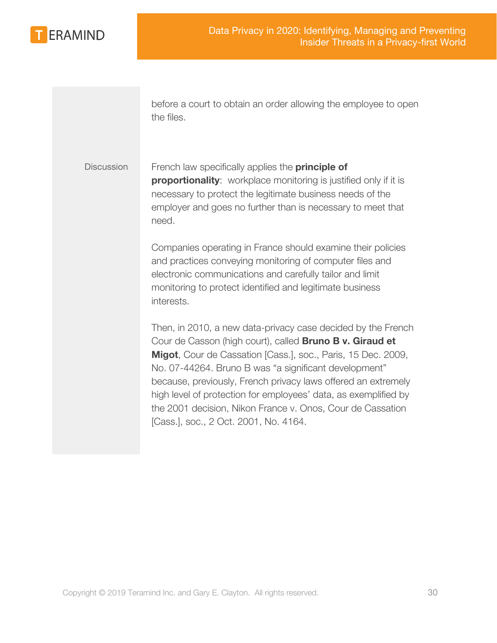

before a court to obtain an order allowing the employee to open the files.

Discussion French law specifically applies the **principle of proportionality**: workplace monitoring is justified only if it is necessary to protect the legitimate business needs of the employer and goes no further than is necessary to meet that need.

> Companies operating in France should examine their policies and practices conveying monitoring of computer files and electronic communications and carefully tailor and limit monitoring to protect identified and legitimate business interests.

Then, in 2010, a new data-privacy case decided by the French Cour de Casson (high court), called **Bruno B v. Giraud et Migot**, Cour de Cassation [Cass.], soc., Paris, 15 Dec. 2009, No. 07-44264. Bruno B was "a significant development" because, previously, French privacy laws offered an extremely high level of protection for employees' data, as exemplified by the 2001 decision, Nikon France v. Onos, Cour de Cassation [Cass.], soc., 2 Oct. 2001, No. 4164.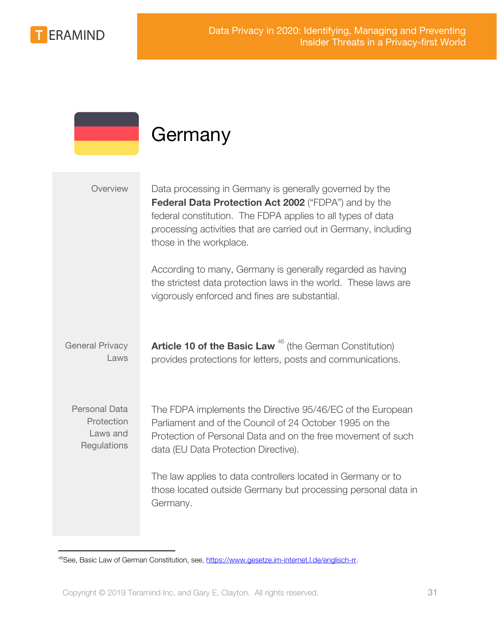

### <span id="page-30-0"></span>**Germany**

| Overview                                                      | Data processing in Germany is generally governed by the<br>Federal Data Protection Act 2002 ("FDPA") and by the<br>federal constitution. The FDPA applies to all types of data<br>processing activities that are carried out in Germany, including<br>those in the workplace. |
|---------------------------------------------------------------|-------------------------------------------------------------------------------------------------------------------------------------------------------------------------------------------------------------------------------------------------------------------------------|
|                                                               | According to many, Germany is generally regarded as having<br>the strictest data protection laws in the world. These laws are<br>vigorously enforced and fines are substantial.                                                                                               |
| <b>General Privacy</b><br>Laws                                | <b>Article 10 of the Basic Law</b> <sup>46</sup> (the German Constitution)<br>provides protections for letters, posts and communications.                                                                                                                                     |
| <b>Personal Data</b><br>Protection<br>Laws and<br>Regulations | The FDPA implements the Directive 95/46/EC of the European<br>Parliament and of the Council of 24 October 1995 on the<br>Protection of Personal Data and on the free movement of such<br>data (EU Data Protection Directive).                                                 |
|                                                               | The law applies to data controllers located in Germany or to<br>those located outside Germany but processing personal data in<br>Germany.                                                                                                                                     |

<sup>46</sup>See, Basic Law of German Constitution, see,<https://www.gesetze.im-internet.l.de/englisch-rr>.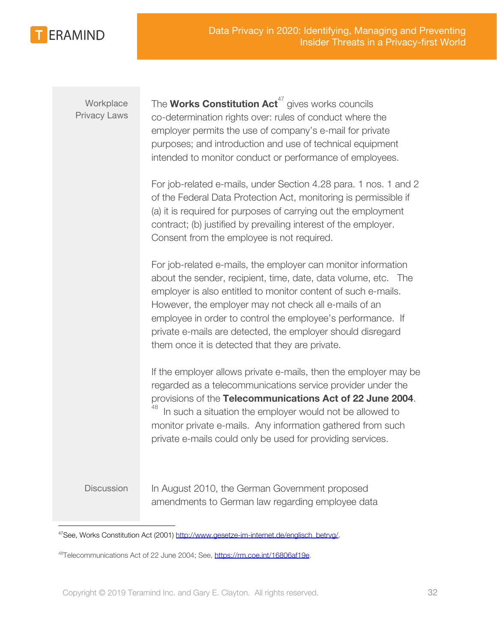

**Workplace** Privacy Laws The **Works Constitution Act**<sup>47</sup> gives works councils co-determination rights over: rules of conduct where the employer permits the use of company's e-mail for private purposes; and introduction and use of technical equipment intended to monitor conduct or performance of employees.

For job-related e-mails, under Section 4.28 para. 1 nos. 1 and 2 of the Federal Data Protection Act, monitoring is permissible if (a) it is required for purposes of carrying out the employment contract; (b) justified by prevailing interest of the employer. Consent from the employee is not required.

For job-related e-mails, the employer can monitor information about the sender, recipient, time, date, data volume, etc. The employer is also entitled to monitor content of such e-mails. However, the employer may not check all e-mails of an employee in order to control the employee's performance. If private e-mails are detected, the employer should disregard them once it is detected that they are private.

If the employer allows private e-mails, then the employer may be regarded as a telecommunications service provider under the provisions of the **Telecommunications Act of 22 June 2004**. In such a situation the employer would not be allowed to monitor private e-mails. Any information gathered from such private e-mails could only be used for providing services.

Discussion In August 2010, the German Government proposed amendments to German law regarding employee data

<sup>&</sup>lt;sup>47</sup>See, Works Constitution Act (2001) [http://www.gesetze-im-internet.de/englisch\\_betrvg/.](http://www.gesetze-im-internet.de/englisch_betrvg/)

<sup>48</sup>Telecommunications Act of 22 June 2004; See, <https://rm.coe.int/16806af19e>.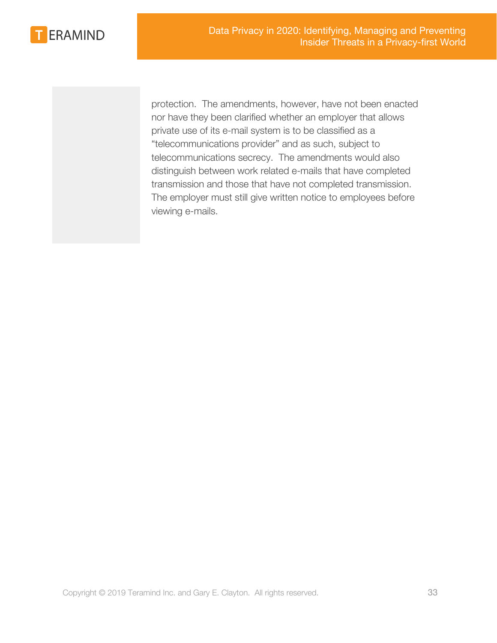

protection. The amendments, however, have not been enacted nor have they been clarified whether an employer that allows private use of its e-mail system is to be classified as a "telecommunications provider" and as such, subject to telecommunications secrecy. The amendments would also distinguish between work related e-mails that have completed transmission and those that have not completed transmission. The employer must still give written notice to employees before viewing e-mails.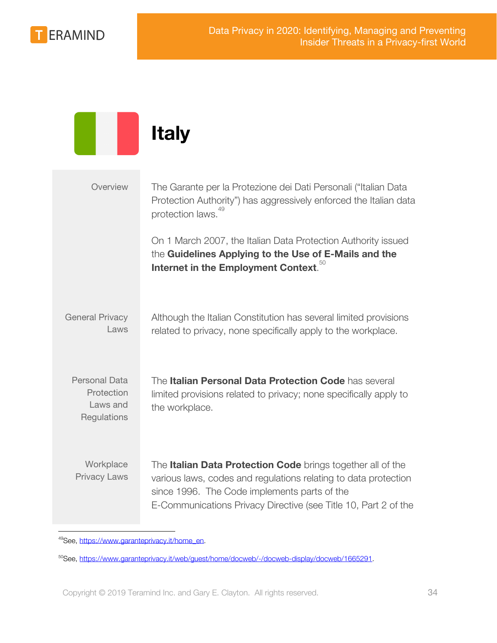

<span id="page-33-0"></span>

|                                                               | <b>Italy</b>                                                                                                                                                                                                                                      |
|---------------------------------------------------------------|---------------------------------------------------------------------------------------------------------------------------------------------------------------------------------------------------------------------------------------------------|
| Overview                                                      | The Garante per la Protezione dei Dati Personali ("Italian Data<br>Protection Authority") has aggressively enforced the Italian data<br>protection laws. <sup>49</sup>                                                                            |
|                                                               | On 1 March 2007, the Italian Data Protection Authority issued<br>the Guidelines Applying to the Use of E-Mails and the<br>Internet in the Employment Context. <sup>50</sup>                                                                       |
| <b>General Privacy</b><br>Laws                                | Although the Italian Constitution has several limited provisions<br>related to privacy, none specifically apply to the workplace.                                                                                                                 |
| <b>Personal Data</b><br>Protection<br>Laws and<br>Regulations | The Italian Personal Data Protection Code has several<br>limited provisions related to privacy; none specifically apply to<br>the workplace.                                                                                                      |
| Workplace<br><b>Privacy Laws</b>                              | The Italian Data Protection Code brings together all of the<br>various laws, codes and regulations relating to data protection<br>since 1996. The Code implements parts of the<br>E-Communications Privacy Directive (see Title 10, Part 2 of the |

<sup>49</sup>See, [https://www.garanteprivacy.it/home\\_en](https://www.garanteprivacy.it/home_en).

<sup>50</sup>See, [https://www.garanteprivacy.it/web/guest/home/docweb/-/docweb-display/docweb/1665291.](https://www.garanteprivacy.it/web/guest/home/docweb/-/docweb-display/docweb/1665291)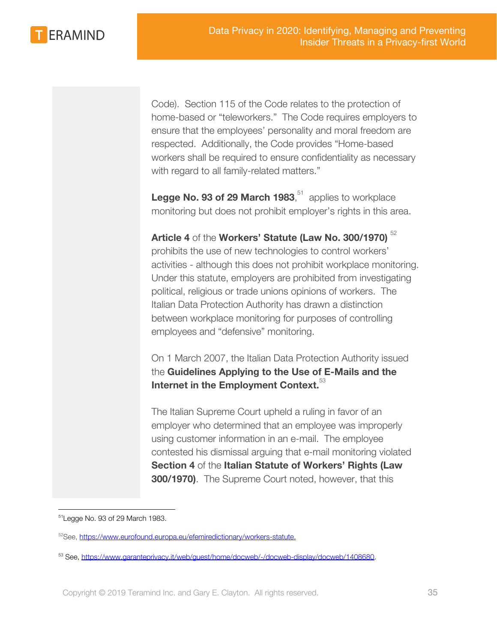**ERAMIND** 

Code). Section 115 of the Code relates to the protection of home-based or "teleworkers." The Code requires employers to ensure that the employees' personality and moral freedom are respected. Additionally, the Code provides "Home-based workers shall be required to ensure confidentiality as necessary with regard to all family-related matters."

**Legge No. 93 of 29 March 1983**, $51$  applies to workplace monitoring but does not prohibit employer's rights in this area.

### **Article 4** of the **Workers' Statute (Law No. 300/1970)** <sup>52</sup>

prohibits the use of new technologies to control workers' activities - although this does not prohibit workplace monitoring. Under this statute, employers are prohibited from investigating political, religious or trade unions opinions of workers. The Italian Data Protection Authority has drawn a distinction between workplace monitoring for purposes of controlling employees and "defensive" monitoring.

On 1 March 2007, the Italian Data Protection Authority issued the **Guidelines Applying to the Use of E-Mails and the** Internet in the Employment Context.<sup>33</sup>

The Italian Supreme Court upheld a ruling in favor of an employer who determined that an employee was improperly using customer information in an e-mail. The employee contested his dismissal arguing that e-mail monitoring violated **Section 4** of the **Italian Statute of Workers' Rights (Law 300/1970)**. The Supreme Court noted, however, that this

<sup>51</sup>Legge No. 93 of 29 March 1983.

<sup>52</sup>See, <https://www.eurofound.europa.eu/efemiredictionary/workers-statute>.

<sup>53</sup> See,<https://www.garanteprivacy.it/web/guest/home/docweb/-/docweb-display/docweb/1408680>.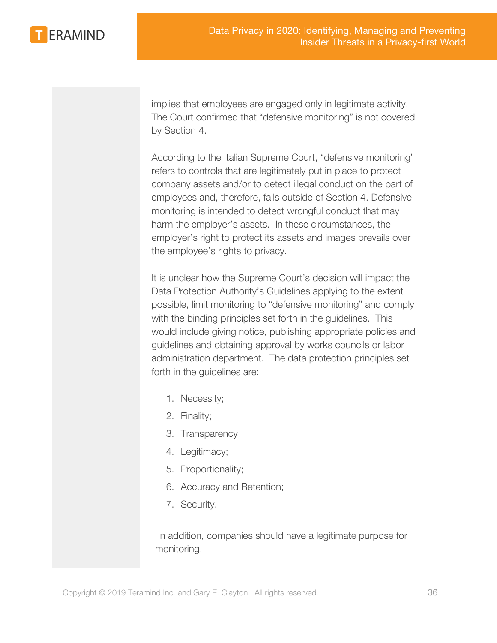

implies that employees are engaged only in legitimate activity. The Court confirmed that "defensive monitoring" is not covered by Section 4.

According to the Italian Supreme Court, "defensive monitoring" refers to controls that are legitimately put in place to protect company assets and/or to detect illegal conduct on the part of employees and, therefore, falls outside of Section 4. Defensive monitoring is intended to detect wrongful conduct that may harm the employer's assets. In these circumstances, the employer's right to protect its assets and images prevails over the employee's rights to privacy.

It is unclear how the Supreme Court's decision will impact the Data Protection Authority's Guidelines applying to the extent possible, limit monitoring to "defensive monitoring" and comply with the binding principles set forth in the guidelines. This would include giving notice, publishing appropriate policies and guidelines and obtaining approval by works councils or labor administration department. The data protection principles set forth in the guidelines are:

- 1. Necessity;
- 2. Finality;
- 3. Transparency
- 4. Legitimacy;
- 5. Proportionality;
- 6. Accuracy and Retention;
- 7. Security.

 In addition, companies should have a legitimate purpose for monitoring.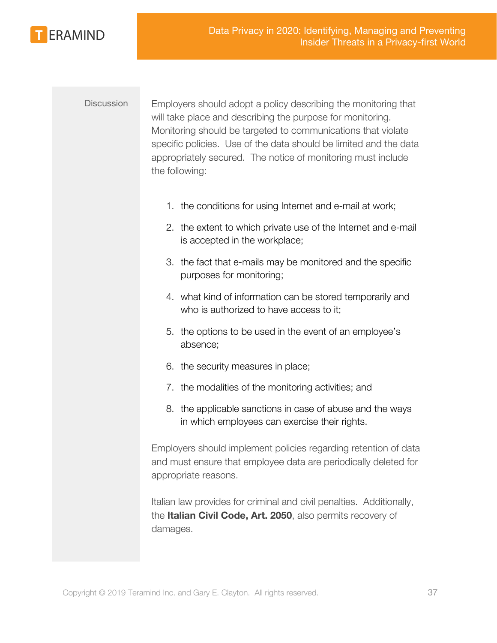

Discussion Employers should adopt a policy describing the monitoring that will take place and describing the purpose for monitoring. Monitoring should be targeted to communications that violate specific policies. Use of the data should be limited and the data appropriately secured. The notice of monitoring must include the following:

- 1. the conditions for using Internet and e-mail at work;
- 2. the extent to which private use of the Internet and e-mail is accepted in the workplace;
- 3. the fact that e-mails may be monitored and the specific purposes for monitoring;
- 4. what kind of information can be stored temporarily and who is authorized to have access to it;
- 5. the options to be used in the event of an employee's absence;
- 6. the security measures in place;
- 7. the modalities of the monitoring activities; and
- 8. the applicable sanctions in case of abuse and the ways in which employees can exercise their rights.

Employers should implement policies regarding retention of data and must ensure that employee data are periodically deleted for appropriate reasons.

Italian law provides for criminal and civil penalties. Additionally, the **Italian Civil Code, Art. 2050**, also permits recovery of damages.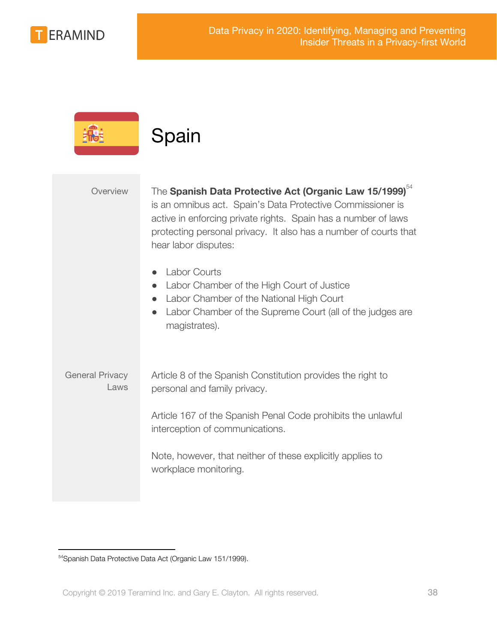

<span id="page-37-0"></span>

|                                | Spain                                                                                                                                                                                                                                                                                           |
|--------------------------------|-------------------------------------------------------------------------------------------------------------------------------------------------------------------------------------------------------------------------------------------------------------------------------------------------|
| Overview                       | The Spanish Data Protective Act (Organic Law 15/1999) <sup>54</sup><br>is an omnibus act. Spain's Data Protective Commissioner is<br>active in enforcing private rights. Spain has a number of laws<br>protecting personal privacy. It also has a number of courts that<br>hear labor disputes: |
|                                | <b>Labor Courts</b><br>Labor Chamber of the High Court of Justice<br>Labor Chamber of the National High Court<br>Labor Chamber of the Supreme Court (all of the judges are<br>magistrates).                                                                                                     |
| <b>General Privacy</b><br>Laws | Article 8 of the Spanish Constitution provides the right to<br>personal and family privacy.                                                                                                                                                                                                     |
|                                | Article 167 of the Spanish Penal Code prohibits the unlawful<br>interception of communications.                                                                                                                                                                                                 |
|                                | Note, however, that neither of these explicitly applies to<br>workplace monitoring.                                                                                                                                                                                                             |

<sup>54</sup>Spanish Data Protective Data Act (Organic Law 151/1999).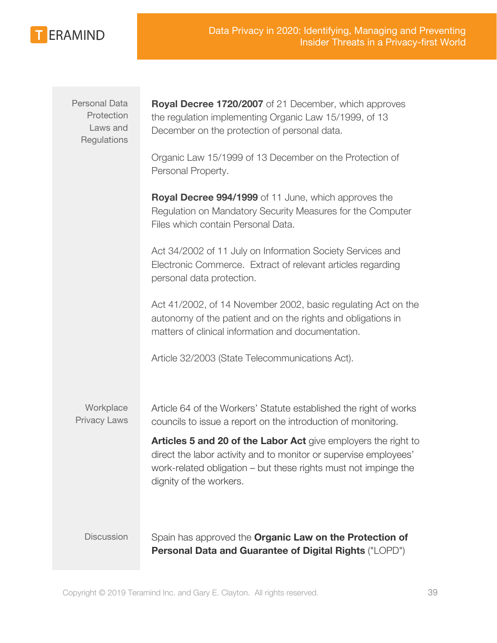

Personal Data **Protection** Laws and **Regulations** 

**Royal Decree 1720/2007** of 21 December, which approves the regulation implementing Organic Law 15/1999, of 13 December on the protection of personal data.

Organic Law 15/1999 of 13 December on the Protection of Personal Property.

**Royal Decree 994/1999** of 11 June, which approves the Regulation on Mandatory Security Measures for the Computer Files which contain Personal Data.

Act 34/2002 of 11 July on Information Society Services and Electronic Commerce. Extract of relevant articles regarding personal data protection.

Act 41/2002, of 14 November 2002, basic regulating Act on the autonomy of the patient and on the rights and obligations in matters of clinical information and documentation.

Article 32/2003 (State Telecommunications Act).

**Workplace** Privacy Laws Article 64 of the Workers' Statute established the right of works councils to issue a report on the introduction of monitoring.

**Articles 5 and 20 of the Labor Act** give employers the right to direct the labor activity and to monitor or supervise employees' work-related obligation – but these rights must not impinge the dignity of the workers.

Discussion Spain has approved the **Organic Law on the Protection of Personal Data and Guarantee of Digital Rights** ("LOPD")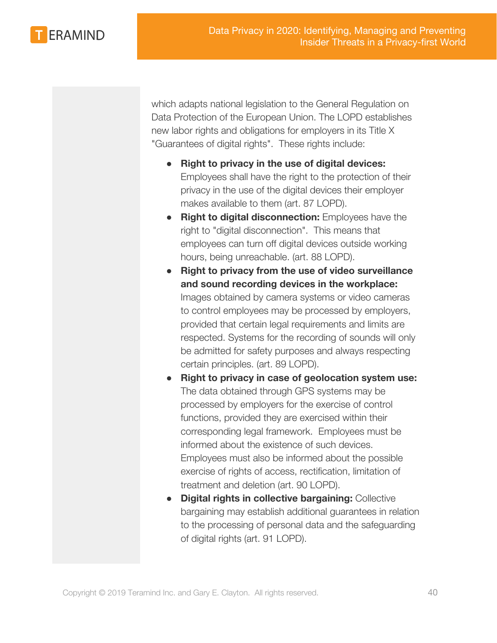

which adapts national legislation to the General Regulation on Data Protection of the European Union. The LOPD establishes new labor rights and obligations for employers in its Title X "Guarantees of digital rights". These rights include:

- **Right to privacy in the use of digital devices:** Employees shall have the right to the protection of their privacy in the use of the digital devices their employer makes available to them (art. 87 LOPD).
- **Right to digital disconnection:** Employees have the right to "digital disconnection". This means that employees can turn off digital devices outside working hours, being unreachable. (art. 88 LOPD).
- **Right to privacy from the use of video surveillance and sound recording devices in the workplace:** Images obtained by camera systems or video cameras to control employees may be processed by employers, provided that certain legal requirements and limits are respected. Systems for the recording of sounds will only be admitted for safety purposes and always respecting certain principles. (art. 89 LOPD).
- **Right to privacy in case of geolocation system use:** The data obtained through GPS systems may be processed by employers for the exercise of control functions, provided they are exercised within their corresponding legal framework. Employees must be informed about the existence of such devices. Employees must also be informed about the possible exercise of rights of access, rectification, limitation of treatment and deletion (art. 90 LOPD).
- **Digital rights in collective bargaining:** Collective bargaining may establish additional guarantees in relation to the processing of personal data and the safeguarding of digital rights (art. 91 LOPD).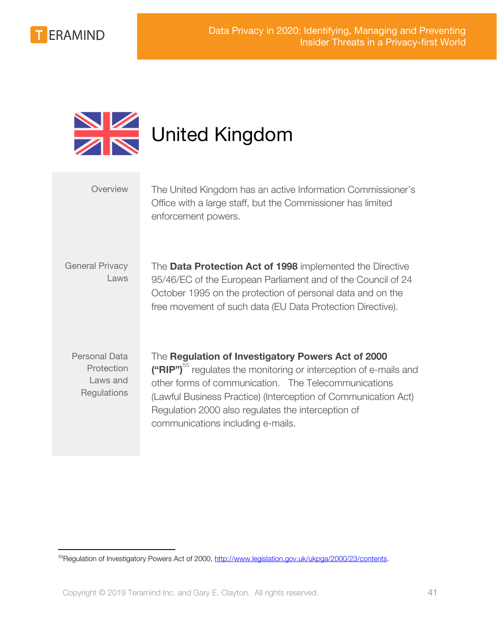

<span id="page-40-0"></span>

| Overview                                               | The United Kingdom has an active Information Commissioner's<br>Office with a large staff, but the Commissioner has limited<br>enforcement powers.                                                                                                                                                                                                        |
|--------------------------------------------------------|----------------------------------------------------------------------------------------------------------------------------------------------------------------------------------------------------------------------------------------------------------------------------------------------------------------------------------------------------------|
| <b>General Privacy</b><br>Laws                         | The Data Protection Act of 1998 implemented the Directive<br>95/46/EC of the European Parliament and of the Council of 24<br>October 1995 on the protection of personal data and on the<br>free movement of such data (EU Data Protection Directive).                                                                                                    |
| Personal Data<br>Protection<br>Laws and<br>Regulations | The Regulation of Investigatory Powers Act of 2000<br>("RIP") <sup>55</sup> regulates the monitoring or interception of e-mails and<br>other forms of communication. The Telecommunications<br>(Lawful Business Practice) (Interception of Communication Act)<br>Regulation 2000 also regulates the interception of<br>communications including e-mails. |

<sup>&</sup>lt;sup>55</sup>Regulation of Investigatory Powers Act of 2000, <http://www.legislation.gov.uk/ukpga/2000/23/contents>.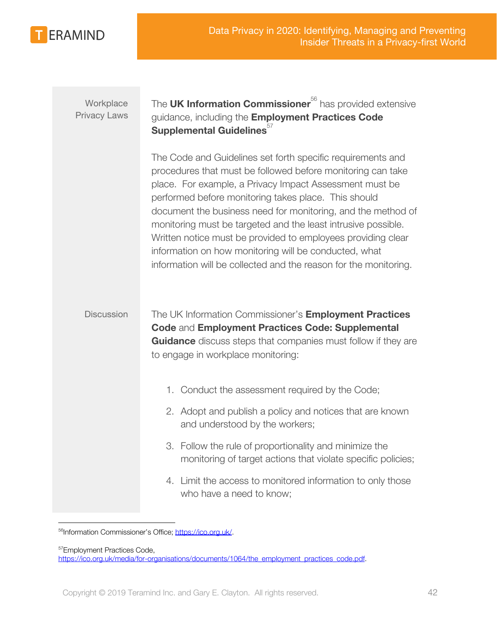

| Workplace<br><b>Privacy Laws</b> | The UK Information Commissioner <sup>56</sup> has provided extensive<br>guidance, including the Employment Practices Code<br>Supplemental Guidelines <sup>57</sup>                                                                                                                                                                                                                                                                                                                                                                                                          |
|----------------------------------|-----------------------------------------------------------------------------------------------------------------------------------------------------------------------------------------------------------------------------------------------------------------------------------------------------------------------------------------------------------------------------------------------------------------------------------------------------------------------------------------------------------------------------------------------------------------------------|
|                                  | The Code and Guidelines set forth specific requirements and<br>procedures that must be followed before monitoring can take<br>place. For example, a Privacy Impact Assessment must be<br>performed before monitoring takes place. This should<br>document the business need for monitoring, and the method of<br>monitoring must be targeted and the least intrusive possible.<br>Written notice must be provided to employees providing clear<br>information on how monitoring will be conducted, what<br>information will be collected and the reason for the monitoring. |
| <b>Discussion</b>                | The UK Information Commissioner's Employment Practices<br><b>Code and Employment Practices Code: Supplemental</b><br><b>Guidance</b> discuss steps that companies must follow if they are<br>to engage in workplace monitoring:                                                                                                                                                                                                                                                                                                                                             |
|                                  | 1. Conduct the assessment required by the Code;                                                                                                                                                                                                                                                                                                                                                                                                                                                                                                                             |
|                                  | 2. Adopt and publish a policy and notices that are known<br>and understood by the workers;                                                                                                                                                                                                                                                                                                                                                                                                                                                                                  |
|                                  |                                                                                                                                                                                                                                                                                                                                                                                                                                                                                                                                                                             |
|                                  | 3. Follow the rule of proportionality and minimize the<br>monitoring of target actions that violate specific policies;                                                                                                                                                                                                                                                                                                                                                                                                                                                      |

<sup>56</sup>Information Commissioner's Office; [https://ico.org.uk/.](https://ico.org.uk/)

<sup>57</sup>Employment Practices Code, [https://ico.org.uk/media/for-organisations/documents/1064/the\\_employment\\_practices\\_code.pdf](https://ico.org.uk/media/for-organisations/documents/1064/the_employment_practices_code.pdf).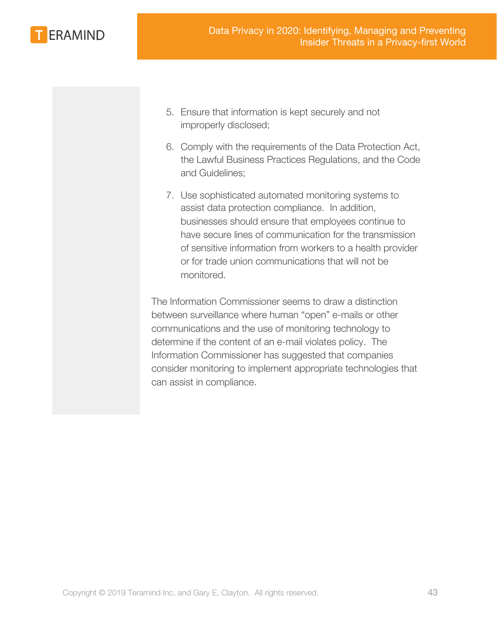

- 5. Ensure that information is kept securely and not improperly disclosed;
- 6. Comply with the requirements of the Data Protection Act, the Lawful Business Practices Regulations, and the Code and Guidelines;
- 7. Use sophisticated automated monitoring systems to assist data protection compliance. In addition, businesses should ensure that employees continue to have secure lines of communication for the transmission of sensitive information from workers to a health provider or for trade union communications that will not be monitored.

The Information Commissioner seems to draw a distinction between surveillance where human "open" e-mails or other communications and the use of monitoring technology to determine if the content of an e-mail violates policy. The Information Commissioner has suggested that companies consider monitoring to implement appropriate technologies that can assist in compliance.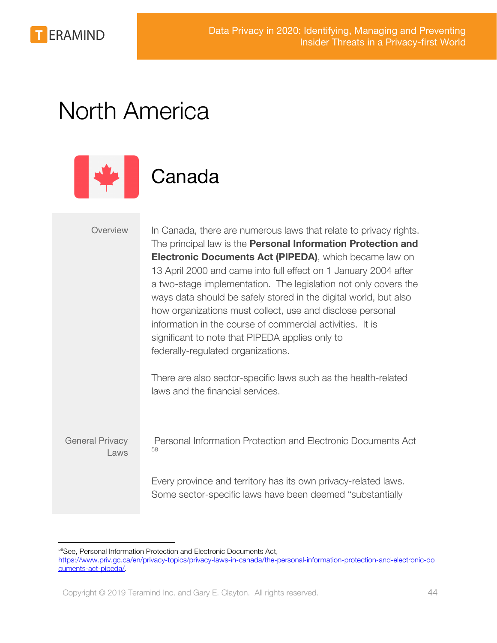

## <span id="page-43-0"></span>North America



### <span id="page-43-1"></span>Canada

Overview In Canada, there are numerous laws that relate to privacy rights. The principal law is the **Personal Information Protection and Electronic Documents Act (PIPEDA)**, which became law on 13 April 2000 and came into full effect on 1 January 2004 after a two-stage implementation. The legislation not only covers the ways data should be safely stored in the digital world, but also how organizations must collect, use and disclose personal information in the course of commercial activities. It is significant to note that PIPEDA applies only to federally-regulated organizations.

> There are also sector-specific laws such as the health-related laws and the financial services.

General Privacy Laws

 Personal Information Protection and Electronic Documents Act 58

Every province and territory has its own privacy-related laws. Some sector-specific laws have been deemed "substantially

<sup>58</sup>See, Personal Information Protection and Electronic Documents Act,

[https://www.priv.gc.ca/en/privacy-topics/privacy-laws-in-canada/the-personal-information-protection-and-electronic-do](https://www.priv.gc.ca/en/privacy-topics/privacy-laws-in-canada/the-personal-information-protection-and-electronic-documents-act-pipeda/) [cuments-act-pipeda/.](https://www.priv.gc.ca/en/privacy-topics/privacy-laws-in-canada/the-personal-information-protection-and-electronic-documents-act-pipeda/)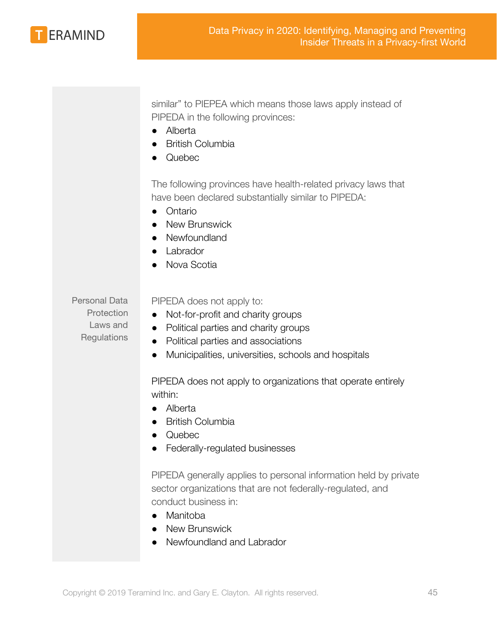

similar" to PIEPEA which means those laws apply instead of PIPEDA in the following provinces:

- Alberta
- **British Columbia**
- **Quebec**

The following provinces have health-related privacy laws that have been declared substantially similar to PIPEDA:

- Ontario
- New Brunswick
- Newfoundland
- Labrador
- Nova Scotia

Personal Data **Protection** Laws and **Regulations** 

PIPEDA does not apply to:

- Not-for-profit and charity groups
- Political parties and charity groups
- Political parties and associations
- Municipalities, universities, schools and hospitals

PIPEDA does not apply to organizations that operate entirely within:

- Alberta
- **British Columbia**
- **Quebec**
- Federally-regulated businesses

PIPEDA generally applies to personal information held by private sector organizations that are not federally-regulated, and conduct business in:

- Manitoba
- New Brunswick
- Newfoundland and Labrador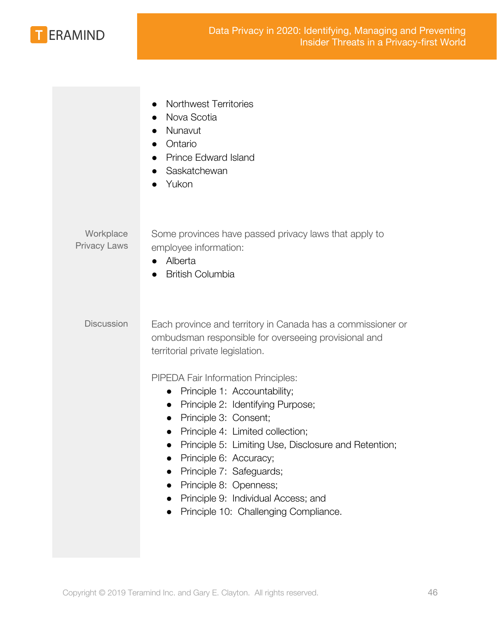

|                                  | <b>Northwest Territories</b><br>$\bullet$<br>Nova Scotia<br>Nunavut<br>Ontario<br>Prince Edward Island<br>Saskatchewan<br>Yukon                                                                                                                                                                                                                                                                                                                                                                                                                                                                                           |
|----------------------------------|---------------------------------------------------------------------------------------------------------------------------------------------------------------------------------------------------------------------------------------------------------------------------------------------------------------------------------------------------------------------------------------------------------------------------------------------------------------------------------------------------------------------------------------------------------------------------------------------------------------------------|
| Workplace<br><b>Privacy Laws</b> | Some provinces have passed privacy laws that apply to<br>employee information:<br>Alberta<br>$\bullet$<br><b>British Columbia</b>                                                                                                                                                                                                                                                                                                                                                                                                                                                                                         |
| <b>Discussion</b>                | Each province and territory in Canada has a commissioner or<br>ombudsman responsible for overseeing provisional and<br>territorial private legislation.<br>PIPEDA Fair Information Principles:<br>Principle 1: Accountability;<br>$\bullet$<br>Principle 2: Identifying Purpose;<br>$\bullet$<br>Principle 3: Consent;<br>$\bullet$<br>Principle 4: Limited collection;<br>$\bullet$<br>Principle 5: Limiting Use, Disclosure and Retention;<br>$\bullet$<br>Principle 6: Accuracy;<br>Principle 7: Safeguards;<br>Principle 8: Openness;<br>Principle 9: Individual Access; and<br>Principle 10: Challenging Compliance. |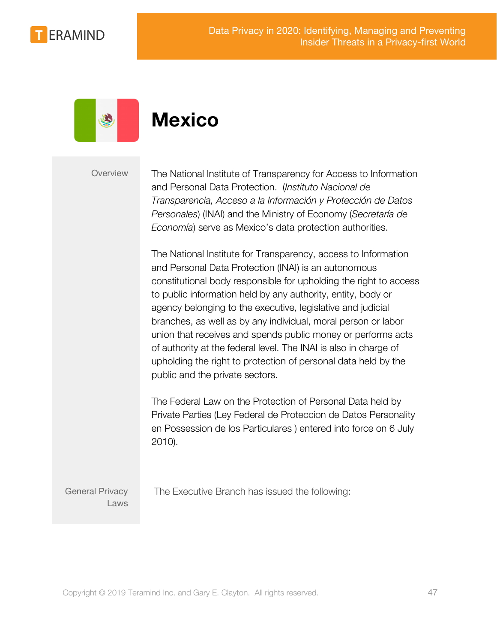



### <span id="page-46-0"></span>**Mexico**

Overview The National Institute of Transparency for Access to Information and Personal Data Protection. (*Instituto Nacional de Transparencia, Acceso a la Información y Protección de Datos Personales*) (INAI) and the Ministry of Economy (*Secretaría de Economía*) serve as Mexico's data protection authorities.

> The National Institute for Transparency, access to Information and Personal Data Protection (INAI) is an autonomous constitutional body responsible for upholding the right to access to public information held by any authority, entity, body or agency belonging to the executive, legislative and judicial branches, as well as by any individual, moral person or labor union that receives and spends public money or performs acts of authority at the federal level. The INAI is also in charge of upholding the right to protection of personal data held by the public and the private sectors.

The Federal Law on the Protection of Personal Data held by Private Parties (Ley Federal de Proteccion de Datos Personality en Possession de los Particulares ) entered into force on 6 July 2010).

General Privacy Laws The Executive Branch has issued the following: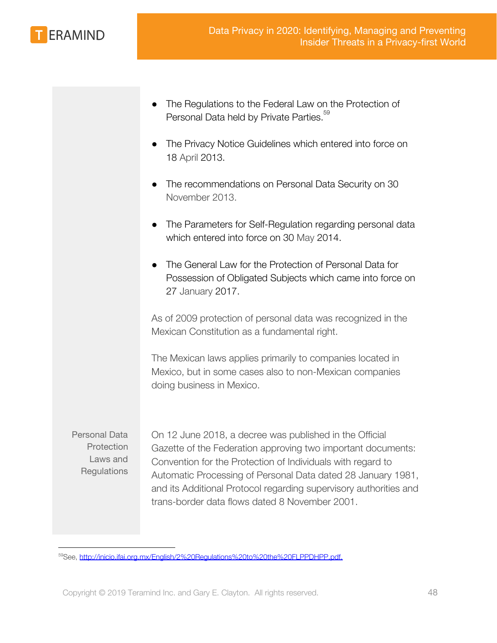

- The Regulations to the Federal Law on the Protection of Personal Data held by Private Parties.<sup>59</sup>
- The Privacy Notice Guidelines which entered into force on 18 April 2013.
- The recommendations on Personal Data Security on 30 November 2013.
- The Parameters for Self-Regulation regarding personal data which entered into force on 30 May 2014.
- The General Law for the Protection of Personal Data for Possession of Obligated Subjects which came into force on 27 January 2017.

As of 2009 protection of personal data was recognized in the Mexican Constitution as a fundamental right.

The Mexican laws applies primarily to companies located in Mexico, but in some cases also to non-Mexican companies doing business in Mexico.

Personal Data **Protection** Laws and **Regulations** 

On 12 June 2018, a decree was published in the Official Gazette of the Federation approving two important documents: Convention for the Protection of Individuals with regard to Automatic Processing of Personal Data dated 28 January 1981, and its Additional Protocol regarding supervisory authorities and trans-border data flows dated 8 November 2001.

<sup>59</sup>See, [http://inicio.ifai.org.mx/English/2%20Regulations%20to%20the%20FLPPDHPP.pdf.](http://inicio.ifai.org.mx/English/2%20Regulations%20to%20the%20FLPPDHPP.pdf)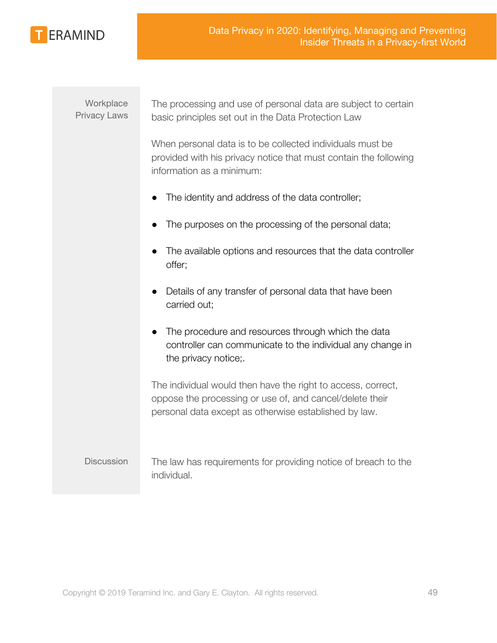

### **Workplace** Privacy Laws

The processing and use of personal data are subject to certain basic principles set out in the Data Protection Law

When personal data is to be collected individuals must be provided with his privacy notice that must contain the following information as a minimum:

- The identity and address of the data controller;
- The purposes on the processing of the personal data;
- The available options and resources that the data controller offer;
- Details of any transfer of personal data that have been carried out;
- The procedure and resources through which the data controller can communicate to the individual any change in the privacy notice;.

The individual would then have the right to access, correct, oppose the processing or use of, and cancel/delete their personal data except as otherwise established by law.

Discussion The law has requirements for providing notice of breach to the individual.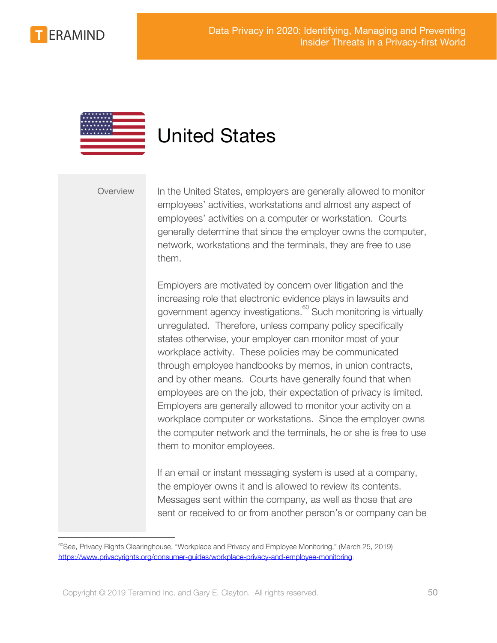



### <span id="page-49-0"></span>United States

Overview In the United States, employers are generally allowed to monitor employees' activities, workstations and almost any aspect of employees' activities on a computer or workstation. Courts generally determine that since the employer owns the computer, network, workstations and the terminals, they are free to use them.

> Employers are motivated by concern over litigation and the increasing role that electronic evidence plays in lawsuits and government agency investigations. $\frac{60}{60}$  Such monitoring is virtually unregulated. Therefore, unless company policy specifically states otherwise, your employer can monitor most of your workplace activity. These policies may be communicated through employee handbooks by memos, in union contracts, and by other means. Courts have generally found that when employees are on the job, their expectation of privacy is limited. Employers are generally allowed to monitor your activity on a workplace computer or workstations. Since the employer owns the computer network and the terminals, he or she is free to use them to monitor employees.

> If an email or instant messaging system is used at a company, the employer owns it and is allowed to review its contents. Messages sent within the company, as well as those that are sent or received to or from another person's or company can be

 $60$ See, Privacy Rights Clearinghouse, "Workplace and Privacy and Employee Monitoring," (March 25, 2019) <https://www.privacyrights.org/consumer-guides/workplace-privacy-and-employee-monitoring>.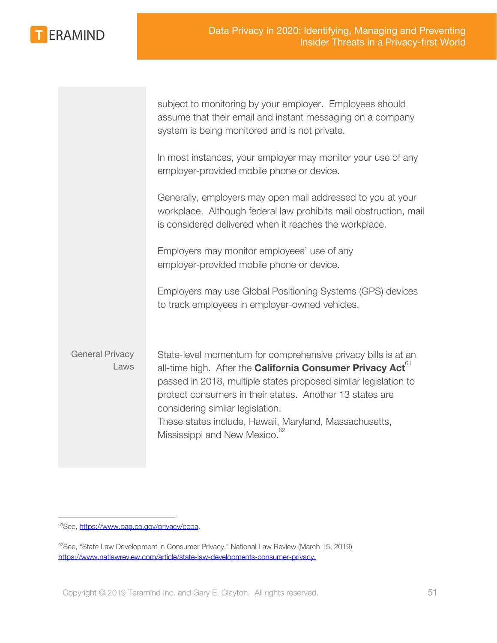

|                                | subject to monitoring by your employer. Employees should<br>assume that their email and instant messaging on a company<br>system is being monitored and is not private.                                                                                                                                                                                                                                    |
|--------------------------------|------------------------------------------------------------------------------------------------------------------------------------------------------------------------------------------------------------------------------------------------------------------------------------------------------------------------------------------------------------------------------------------------------------|
|                                | In most instances, your employer may monitor your use of any<br>employer-provided mobile phone or device.                                                                                                                                                                                                                                                                                                  |
|                                | Generally, employers may open mail addressed to you at your<br>workplace. Although federal law prohibits mail obstruction, mail<br>is considered delivered when it reaches the workplace.                                                                                                                                                                                                                  |
|                                | Employers may monitor employees' use of any<br>employer-provided mobile phone or device.                                                                                                                                                                                                                                                                                                                   |
|                                | Employers may use Global Positioning Systems (GPS) devices<br>to track employees in employer-owned vehicles.                                                                                                                                                                                                                                                                                               |
| <b>General Privacy</b><br>Laws | State-level momentum for comprehensive privacy bills is at an<br>all-time high. After the <b>California Consumer Privacy Act</b> <sup>61</sup><br>passed in 2018, multiple states proposed similar legislation to<br>protect consumers in their states. Another 13 states are<br>considering similar legislation.<br>These states include, Hawaii, Maryland, Massachusetts,<br>Mississippi and New Mexico. |

<sup>&</sup>lt;sup>61</sup>See, <https://www.oag.ca.gov/privacy/ccpa>.

<sup>&</sup>lt;sup>62</sup>See, "State Law Development in Consumer Privacy," National Law Review (March 15, 2019) [https://www.natlawreview.com/article/state-law-developments-consumer-privacy.](https://www.natlawreview.com/article/state-law-developments-consumer-privacy)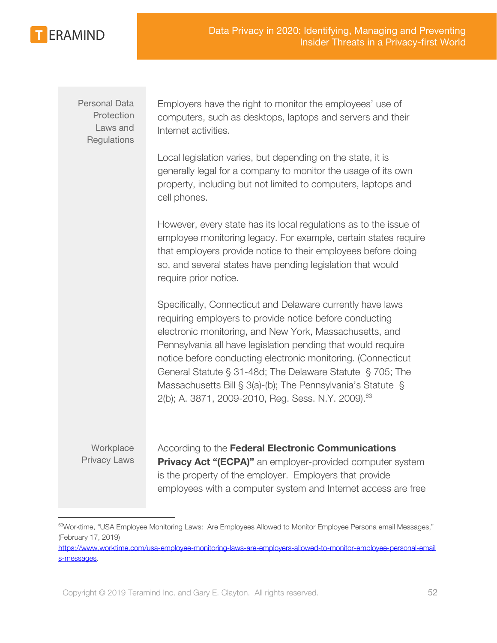

Personal Data **Protection** Laws and **Regulations**  Employers have the right to monitor the employees' use of computers, such as desktops, laptops and servers and their Internet activities.

Local legislation varies, but depending on the state, it is generally legal for a company to monitor the usage of its own property, including but not limited to computers, laptops and cell phones.

However, every state has its local regulations as to the issue of employee monitoring legacy. For example, certain states require that employers provide notice to their employees before doing so, and several states have pending legislation that would require prior notice.

Specifically, Connecticut and Delaware currently have laws requiring employers to provide notice before conducting electronic monitoring, and New York, Massachusetts, and Pennsylvania all have legislation pending that would require notice before conducting electronic monitoring. (Connecticut General Statute § 31-48d; The Delaware Statute § 705; The Massachusetts Bill § 3(a)-(b); The Pennsylvania's Statute § 2(b); A. 3871, 2009-2010, Reg. Sess. N.Y. 2009).<sup>63</sup>

**Workplace** Privacy Laws

According to the **Federal Electronic Communications Privacy Act "(ECPA)"** an employer-provided computer system is the property of the employer. Employers that provide employees with a computer system and Internet access are free

<sup>&</sup>lt;sup>63</sup>Worktime, "USA Employee Monitoring Laws: Are Employees Allowed to Monitor Employee Persona email Messages," (February 17, 2019)

[https://www.worktime.com/usa-employee-monitoring-laws-are-employers-allowed-to-monitor-employee-personal-email](https://www.worktime.com/usa-employee-monitoring-laws-are-employers-allowed-to-monitor-employee-personal-emails-messages) [s-messages](https://www.worktime.com/usa-employee-monitoring-laws-are-employers-allowed-to-monitor-employee-personal-emails-messages).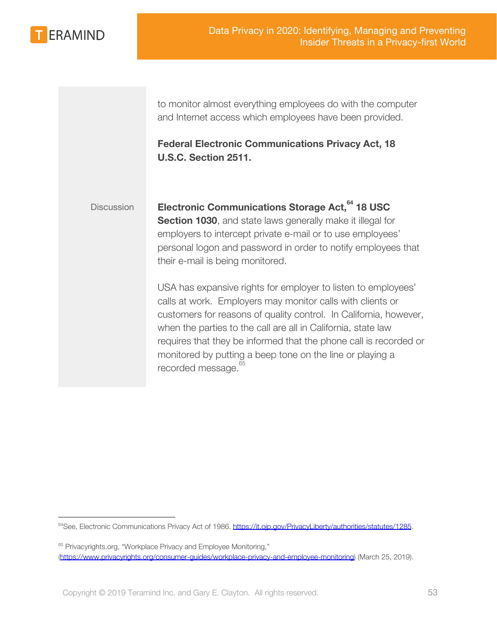

to monitor almost everything employees do with the computer and Internet access which employees have been provided.

**Federal Electronic Communications Privacy Act, 18 U.S.C. Section 2511.**

Discussion **Electronic Communications Storage Act, 64 18 USC Section 1030**, and state laws generally make it illegal for employers to intercept private e-mail or to use employees' personal logon and password in order to notify employees that their e-mail is being monitored.

> USA has expansive rights for employer to listen to employees' calls at work. Employers may monitor calls with clients or customers for reasons of quality control. In California, however, when the parties to the call are all in California, state law requires that they be informed that the phone call is recorded or monitored by putting a beep tone on the line or playing a recorded message.<sup>65</sup>

<sup>&</sup>lt;sup>64</sup>See, Electronic Communications Privacy Act of 1986.<https://it.ojp.gov/PrivacyLiberty/authorities/statutes/1285>.

<sup>&</sup>lt;sup>65</sup> Privacyrights.org, "Workplace Privacy and Employee Monitoring," [\(https://www.privacyrights.org/consumer-guides/workplace-privacy-and-employee-monitoring](https://www.privacyrights.org/consumer-guides/workplace-privacy-and-employee-monitoring)) (March 25, 2019).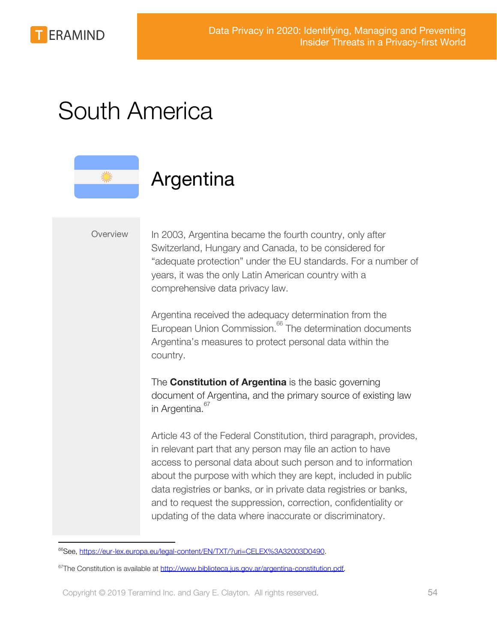

## <span id="page-53-0"></span>South America

### <span id="page-53-1"></span>Argentina

Overview In 2003, Argentina became the fourth country, only after Switzerland, Hungary and Canada, to be considered for "adequate protection" under the EU standards. For a number of years, it was the only Latin American country with a comprehensive data privacy law.

> Argentina received the adequacy determination from the European Union Commission.<sup>66</sup> The determination documents Argentina's measures to protect personal data within the country.

> The **Constitution of Argentina** is the basic governing document of Argentina, and the primary source of existing law in Argentina.<sup>67</sup>

Article 43 of the Federal Constitution, third paragraph, provides, in relevant part that any person may file an action to have access to personal data about such person and to information about the purpose with which they are kept, included in public data registries or banks, or in private data registries or banks, and to request the suppression, correction, confidentiality or updating of the data where inaccurate or discriminatory.

<sup>66</sup>See, [https://eur-lex.europa.eu/legal-content/EN/TXT/?uri=CELEX%3A32003D0490.](https://eur-lex.europa.eu/legal-content/EN/TXT/?uri=CELEX%3A32003D0490)

 $67$ The Constitution is available at [http://www.biblioteca.jus.gov.ar/argentina-constitution.pdf.](http://www.biblioteca.jus.gov.ar/argentina-constitution.pdf)

Copyright © 2019 Teramind Inc. and Gary E. Clayton. All rights reserved. 54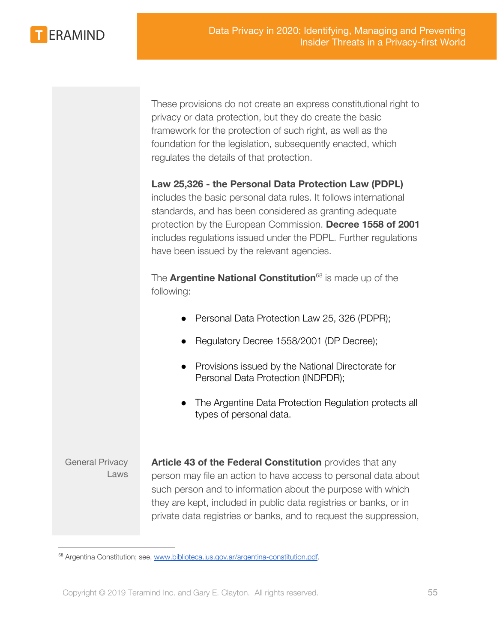

These provisions do not create an express constitutional right to privacy or data protection, but they do create the basic framework for the protection of such right, as well as the foundation for the legislation, subsequently enacted, which regulates the details of that protection.

### **Law 25,326 - the Personal Data Protection Law (PDPL)**

includes the basic personal data rules. It follows international standards, and has been considered as granting adequate protection by the European Commission. **Decree 1558 of 2001** includes regulations issued under the PDPL. Further regulations have been issued by the relevant agencies.

The **Argentine National Constitution**<sup>68</sup> is made up of the following:

- Personal Data Protection Law 25, 326 (PDPR);
- Regulatory Decree 1558/2001 (DP Decree);
- Provisions issued by the National Directorate for Personal Data Protection (INDPDR);
- The Argentine Data Protection Regulation protects all types of personal data.

General Privacy Laws

**Article 43 of the Federal Constitution** provides that any person may file an action to have access to personal data about such person and to information about the purpose with which they are kept, included in public data registries or banks, or in private data registries or banks, and to request the suppression,

<sup>&</sup>lt;sup>68</sup> Argentina Constitution; see, [www.biblioteca.jus.gov.ar/argentina-constitution.pdf.](http://www.biblioteca.jus.gov.ar/argentina-constitution.pdf)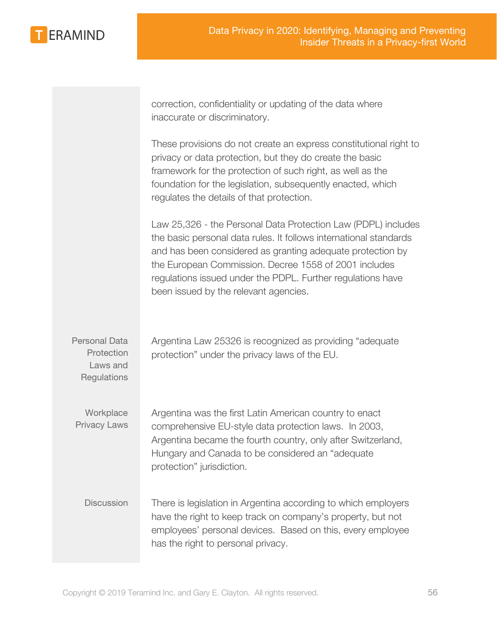**ERAMIND** 

correction, confidentiality or updating of the data where inaccurate or discriminatory.

These provisions do not create an express constitutional right to privacy or data protection, but they do create the basic framework for the protection of such right, as well as the foundation for the legislation, subsequently enacted, which regulates the details of that protection.

Law 25,326 - the Personal Data Protection Law (PDPL) includes the basic personal data rules. It follows international standards and has been considered as granting adequate protection by the European Commission. Decree 1558 of 2001 includes regulations issued under the PDPL. Further regulations have been issued by the relevant agencies.

Personal Data **Protection** Laws and **Regulations** Argentina Law 25326 is recognized as providing "adequate protection" under the privacy laws of the EU. **Workplace** Privacy Laws Argentina was the first Latin American country to enact comprehensive EU-style data protection laws. In 2003, Argentina became the fourth country, only after Switzerland, Hungary and Canada to be considered an "adequate protection" jurisdiction. Discussion There is legislation in Argentina according to which employers have the right to keep track on company's property, but not employees' personal devices. Based on this, every employee has the right to personal privacy.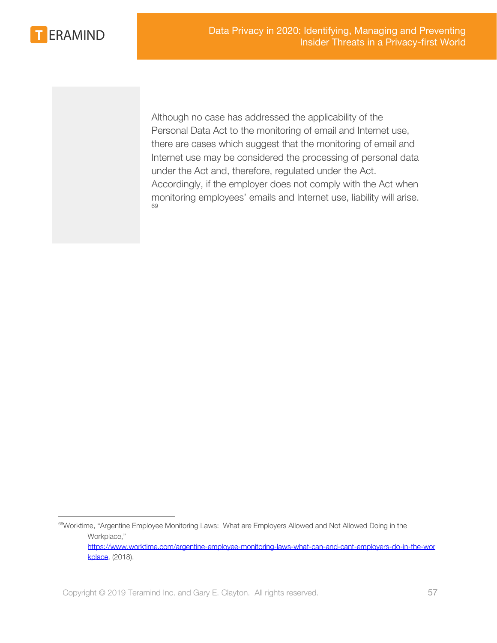

Although no case has addressed the applicability of the Personal Data Act to the monitoring of email and Internet use, there are cases which suggest that the monitoring of email and Internet use may be considered the processing of personal data under the Act and, therefore, regulated under the Act. Accordingly, if the employer does not comply with the Act when monitoring employees' emails and Internet use, liability will arise. 69

<sup>&</sup>lt;sup>69</sup>Worktime, "Argentine Employee Monitoring Laws: What are Employers Allowed and Not Allowed Doing in the Workplace,"

[https://www.worktime.com/argentine-employee-monitoring-laws-what-can-and-cant-employers-do-in-the-wor](https://www.worktime.com/argentine-employee-monitoring-laws-what-can-and-cant-employers-do-in-the-workplace) [kplace.](https://www.worktime.com/argentine-employee-monitoring-laws-what-can-and-cant-employers-do-in-the-workplace) (2018).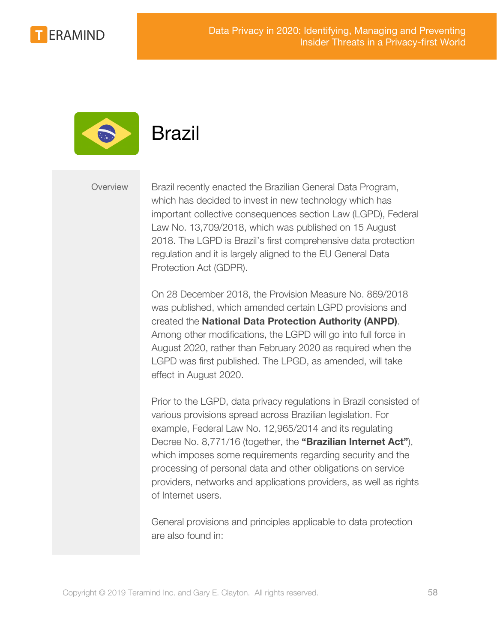



<span id="page-57-0"></span>

Overview Brazil recently enacted the Brazilian General Data Program, which has decided to invest in new technology which has important collective consequences section Law (LGPD), Federal Law No. 13,709/2018, which was published on 15 August 2018. The LGPD is Brazil's first comprehensive data protection regulation and it is largely aligned to the EU General Data Protection Act (GDPR).

> On 28 December 2018, the Provision Measure No. 869/2018 was published, which amended certain LGPD provisions and created the **National Data Protection Authority (ANPD)**. Among other modifications, the LGPD will go into full force in August 2020, rather than February 2020 as required when the LGPD was first published. The LPGD, as amended, will take effect in August 2020.

Prior to the LGPD, data privacy regulations in Brazil consisted of various provisions spread across Brazilian legislation. For example, Federal Law No. 12,965/2014 and its regulating Decree No. 8,771/16 (together, the **"Brazilian Internet Act"**), which imposes some requirements regarding security and the processing of personal data and other obligations on service providers, networks and applications providers, as well as rights of Internet users.

General provisions and principles applicable to data protection are also found in: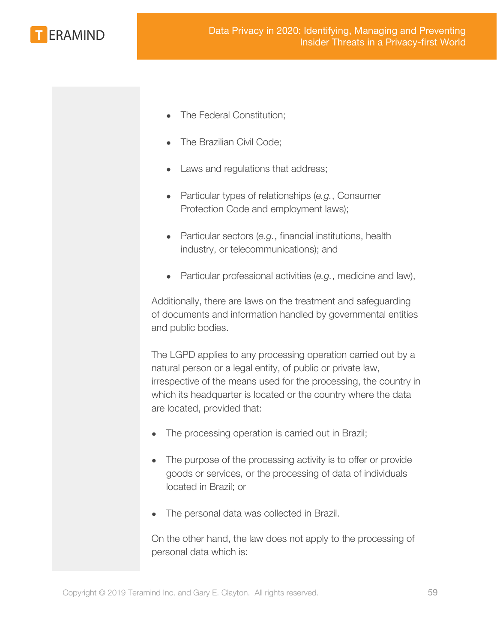

- The Federal Constitution;
- The Brazilian Civil Code;
- Laws and regulations that address;
- Particular types of relationships (*e.g.*, Consumer Protection Code and employment laws);
- Particular sectors (*e.g.*, financial institutions, health industry, or telecommunications); and
- Particular professional activities (*e.g.*, medicine and law),

Additionally, there are laws on the treatment and safeguarding of documents and information handled by governmental entities and public bodies.

The LGPD applies to any processing operation carried out by a natural person or a legal entity, of public or private law, irrespective of the means used for the processing, the country in which its headquarter is located or the country where the data are located, provided that:

- The processing operation is carried out in Brazil;
- The purpose of the processing activity is to offer or provide goods or services, or the processing of data of individuals located in Brazil; or
- The personal data was collected in Brazil.

On the other hand, the law does not apply to the processing of personal data which is: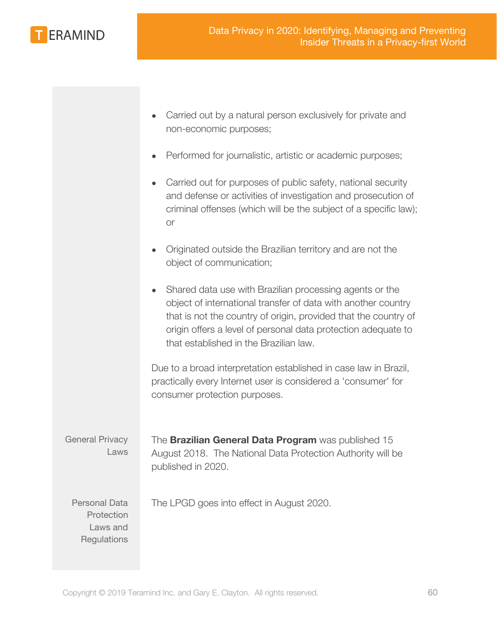

|                                                               | Carried out by a natural person exclusively for private and<br>non-economic purposes;                                                                                                                                                                                                                  |
|---------------------------------------------------------------|--------------------------------------------------------------------------------------------------------------------------------------------------------------------------------------------------------------------------------------------------------------------------------------------------------|
|                                                               | Performed for journalistic, artistic or academic purposes;                                                                                                                                                                                                                                             |
|                                                               | Carried out for purposes of public safety, national security<br>and defense or activities of investigation and prosecution of<br>criminal offenses (which will be the subject of a specific law);<br>or                                                                                                |
|                                                               | Originated outside the Brazilian territory and are not the<br>object of communication;                                                                                                                                                                                                                 |
|                                                               | Shared data use with Brazilian processing agents or the<br>object of international transfer of data with another country<br>that is not the country of origin, provided that the country of<br>origin offers a level of personal data protection adequate to<br>that established in the Brazilian law. |
|                                                               | Due to a broad interpretation established in case law in Brazil,<br>practically every Internet user is considered a 'consumer' for<br>consumer protection purposes.                                                                                                                                    |
| <b>General Privacy</b><br>Laws                                | The Brazilian General Data Program was published 15<br>August 2018. The National Data Protection Authority will be<br>published in 2020.                                                                                                                                                               |
| <b>Personal Data</b><br>Protection<br>Laws and<br>Regulations | The LPGD goes into effect in August 2020.                                                                                                                                                                                                                                                              |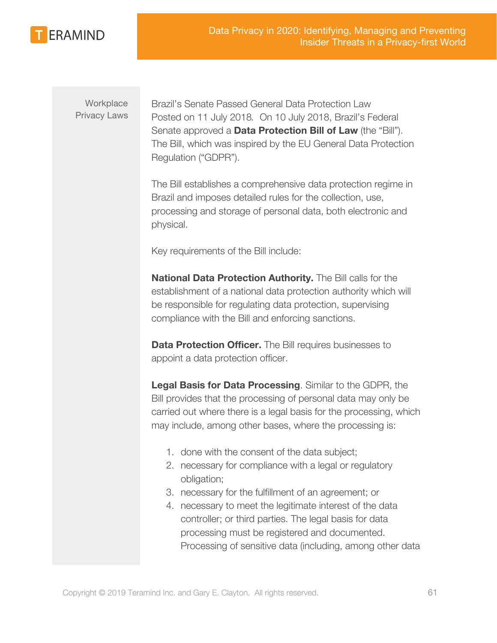

**Workplace** Privacy Laws Brazil's Senate Passed General Data Protection Law Posted on 11 July 2018*.* On 10 July 2018, Brazil's Federal Senate approved a **Data Protection Bill of Law** (the "Bill"). The Bill, which was inspired by the EU General Data Protection Regulation ("GDPR").

The Bill establishes a comprehensive data protection regime in Brazil and imposes detailed rules for the collection, use, processing and storage of personal data, both electronic and physical.

Key requirements of the Bill include:

**National Data Protection Authority.** The Bill calls for the establishment of a national data protection authority which will be responsible for regulating data protection, supervising compliance with the Bill and enforcing sanctions.

**Data Protection Officer.** The Bill requires businesses to appoint a data protection officer.

**Legal Basis for Data Processing**. Similar to the GDPR, the Bill provides that the processing of personal data may only be carried out where there is a legal basis for the processing, which may include, among other bases, where the processing is:

- 1. done with the consent of the data subject;
- 2. necessary for compliance with a legal or regulatory obligation;
- 3. necessary for the fulfillment of an agreement; or
- 4. necessary to meet the legitimate interest of the data controller; or third parties. The legal basis for data processing must be registered and documented. Processing of sensitive data (including, among other data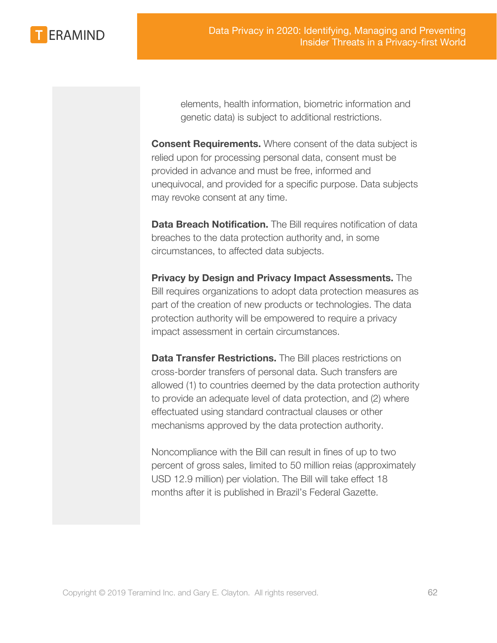**ERAMIND** 

elements, health information, biometric information and genetic data) is subject to additional restrictions.

**Consent Requirements.** Where consent of the data subject is relied upon for processing personal data, consent must be provided in advance and must be free, informed and unequivocal, and provided for a specific purpose. Data subjects may revoke consent at any time.

**Data Breach Notification.** The Bill requires notification of data breaches to the data protection authority and, in some circumstances, to affected data subjects.

**Privacy by Design and Privacy Impact Assessments.** The Bill requires organizations to adopt data protection measures as part of the creation of new products or technologies. The data protection authority will be empowered to require a privacy impact assessment in certain circumstances.

**Data Transfer Restrictions.** The Bill places restrictions on cross-border transfers of personal data. Such transfers are allowed (1) to countries deemed by the data protection authority to provide an adequate level of data protection, and (2) where effectuated using standard contractual clauses or other mechanisms approved by the data protection authority.

Noncompliance with the Bill can result in fines of up to two percent of gross sales, limited to 50 million reias (approximately USD 12.9 million) per violation. The Bill will take effect 18 months after it is published in Brazil's Federal Gazette.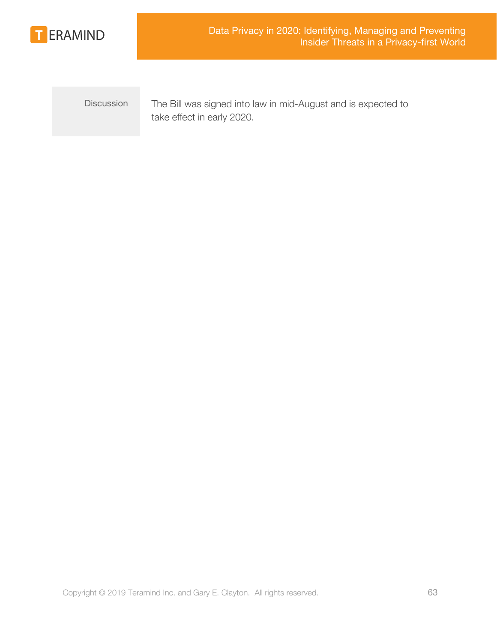

Discussion The Bill was signed into law in mid-August and is expected to take effect in early 2020.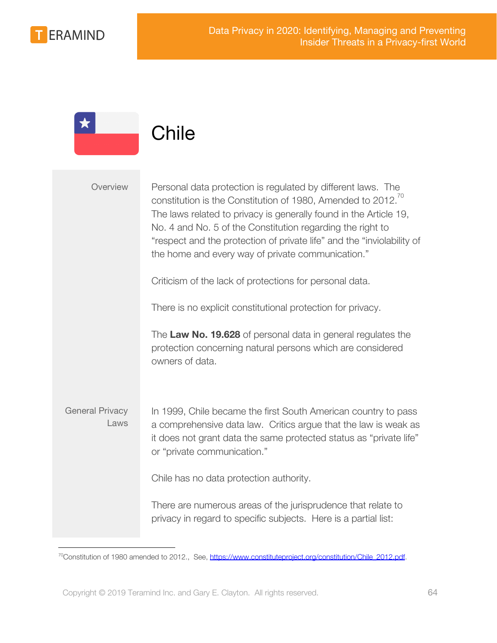

<span id="page-63-0"></span>

|                                | Chile                                                                                                                                                                                                                                                                                                                                                                                                      |
|--------------------------------|------------------------------------------------------------------------------------------------------------------------------------------------------------------------------------------------------------------------------------------------------------------------------------------------------------------------------------------------------------------------------------------------------------|
| Overview                       | Personal data protection is regulated by different laws. The<br>constitution is the Constitution of 1980, Amended to 2012. <sup>70</sup><br>The laws related to privacy is generally found in the Article 19,<br>No. 4 and No. 5 of the Constitution regarding the right to<br>"respect and the protection of private life" and the "inviolability of<br>the home and every way of private communication." |
|                                | Criticism of the lack of protections for personal data.                                                                                                                                                                                                                                                                                                                                                    |
|                                | There is no explicit constitutional protection for privacy.                                                                                                                                                                                                                                                                                                                                                |
|                                | The Law No. 19.628 of personal data in general regulates the<br>protection concerning natural persons which are considered<br>owners of data.                                                                                                                                                                                                                                                              |
| <b>General Privacy</b><br>Laws | In 1999, Chile became the first South American country to pass<br>a comprehensive data law. Critics argue that the law is weak as<br>it does not grant data the same protected status as "private life"<br>or "private communication."                                                                                                                                                                     |
|                                | Chile has no data protection authority.                                                                                                                                                                                                                                                                                                                                                                    |
|                                | There are numerous areas of the jurisprudence that relate to<br>privacy in regard to specific subjects. Here is a partial list:                                                                                                                                                                                                                                                                            |

<sup>&</sup>lt;sup>70</sup>Constitution of 1980 amended to 2012., See, [https://www.constituteproject.org/constitution/Chile\\_2012.pdf](https://www.constituteproject.org/constitution/Chile_2012.pdf).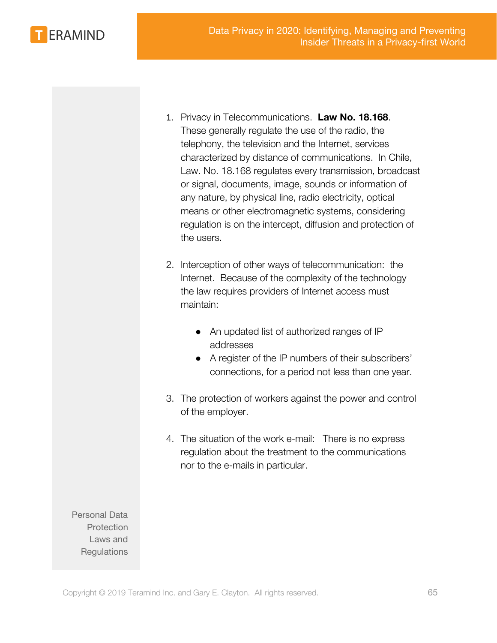Data Privacy in 2020: Identifying, Managing and Preventing Insider Threats in a Privacy-first World



- 1. Privacy in Telecommunications. **Law No. 18.168**. These generally regulate the use of the radio, the telephony, the television and the Internet, services characterized by distance of communications. In Chile, Law. No. 18.168 regulates every transmission, broadcast or signal, documents, image, sounds or information of any nature, by physical line, radio electricity, optical means or other electromagnetic systems, considering regulation is on the intercept, diffusion and protection of the users.
- 2. Interception of other ways of telecommunication: the Internet. Because of the complexity of the technology the law requires providers of Internet access must maintain:
	- An updated list of authorized ranges of IP addresses
	- A register of the IP numbers of their subscribers' connections, for a period not less than one year.
- 3. The protection of workers against the power and control of the employer.
- 4. The situation of the work e-mail: There is no express regulation about the treatment to the communications nor to the e-mails in particular.

Personal Data **Protection** Laws and **Regulations**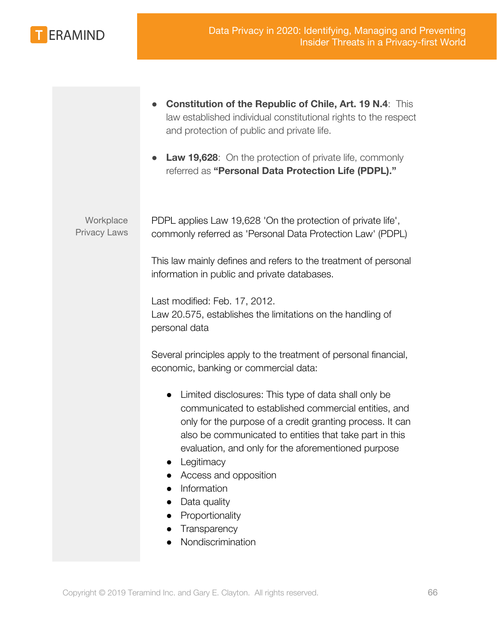

|                                  | <b>Constitution of the Republic of Chile, Art. 19 N.4: This</b><br>law established individual constitutional rights to the respect<br>and protection of public and private life.<br><b>Law 19,628:</b> On the protection of private life, commonly<br>referred as "Personal Data Protection Life (PDPL)."                                                                                                                              |
|----------------------------------|----------------------------------------------------------------------------------------------------------------------------------------------------------------------------------------------------------------------------------------------------------------------------------------------------------------------------------------------------------------------------------------------------------------------------------------|
| Workplace<br><b>Privacy Laws</b> | PDPL applies Law 19,628 'On the protection of private life',<br>commonly referred as 'Personal Data Protection Law' (PDPL)                                                                                                                                                                                                                                                                                                             |
|                                  | This law mainly defines and refers to the treatment of personal<br>information in public and private databases.                                                                                                                                                                                                                                                                                                                        |
|                                  | Last modified: Feb. 17, 2012.<br>Law 20.575, establishes the limitations on the handling of<br>personal data                                                                                                                                                                                                                                                                                                                           |
|                                  | Several principles apply to the treatment of personal financial,<br>economic, banking or commercial data:                                                                                                                                                                                                                                                                                                                              |
|                                  | Limited disclosures: This type of data shall only be<br>$\bullet$<br>communicated to established commercial entities, and<br>only for the purpose of a credit granting process. It can<br>also be communicated to entities that take part in this<br>evaluation, and only for the aforementioned purpose<br>Legitimacy<br>Access and opposition<br>Information<br>Data quality<br>Proportionality<br>Transparency<br>Nondiscrimination |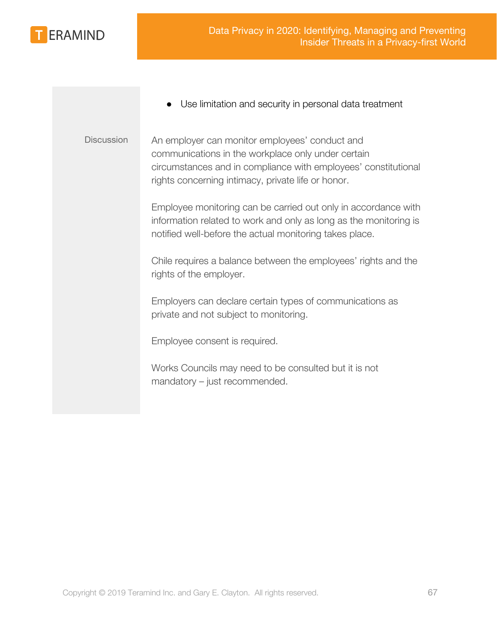

- Use limitation and security in personal data treatment
- Discussion An employer can monitor employees' conduct and communications in the workplace only under certain circumstances and in compliance with employees' constitutional rights concerning intimacy, private life or honor.

Employee monitoring can be carried out only in accordance with information related to work and only as long as the monitoring is notified well-before the actual monitoring takes place.

Chile requires a balance between the employees' rights and the rights of the employer.

Employers can declare certain types of communications as private and not subject to monitoring.

Employee consent is required.

Works Councils may need to be consulted but it is not mandatory – just recommended.